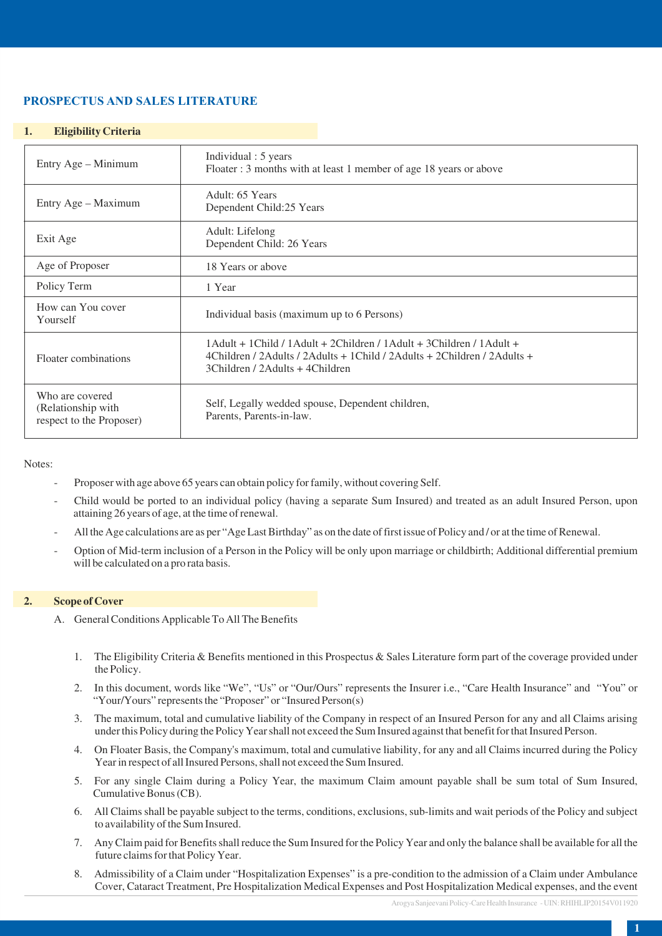# **PROSPECTUS AND SALES LITERATURE**

# **1. Eligibility Criteria**

| Entry Age - Minimum                                               | Individual : 5 years<br>Floater: 3 months with at least 1 member of age 18 years or above                                                                                                                |
|-------------------------------------------------------------------|----------------------------------------------------------------------------------------------------------------------------------------------------------------------------------------------------------|
| Entry Age – Maximum                                               | Adult: 65 Years<br>Dependent Child:25 Years                                                                                                                                                              |
| Exit Age                                                          | Adult: Lifelong<br>Dependent Child: 26 Years                                                                                                                                                             |
| Age of Proposer                                                   | 18 Years or above                                                                                                                                                                                        |
| Policy Term                                                       | 1 Year                                                                                                                                                                                                   |
| How can You cover<br>Yourself                                     | Individual basis (maximum up to 6 Persons)                                                                                                                                                               |
| Floater combinations                                              | $1$ Adult + $1$ Child / $1$ Adult + $2$ Children / $1$ Adult + $3$ Children / $1$ Adult +<br>4Children / 2Adults / 2Adults + 1Child / 2Adults + 2Children / 2Adults +<br>3Children / 2Adults + 4Children |
| Who are covered<br>(Relationship with<br>respect to the Proposer) | Self, Legally wedded spouse, Dependent children,<br>Parents, Parents-in-law.                                                                                                                             |

Notes:

- Proposer with age above 65 years can obtain policy for family, without covering Self.
- Child would be ported to an individual policy (having a separate Sum Insured) and treated as an adult Insured Person, upon attaining 26 years of age, at the time of renewal.
- All the Age calculations are as per "Age Last Birthday" as on the date of first issue of Policy and / or at the time of Renewal.
- Option of Mid-term inclusion of a Person in the Policy will be only upon marriage or childbirth; Additional differential premium will be calculated on a pro rata basis.

# **2. Scope of Cover**

- A. General Conditions Applicable To All The Benefits
	- 1. The Eligibility Criteria & Benefits mentioned in this Prospectus & Sales Literature form part of the coverage provided under the Policy.
	- 2. In this document, words like "We", "Us" or "Our/Ours" represents the Insurer i.e., "Care Health Insurance" and "You" or "Your/Yours" represents the "Proposer" or "Insured Person(s)
	- 3. The maximum, total and cumulative liability of the Company in respect of an Insured Person for any and all Claims arising under this Policy during the Policy Year shall not exceed the Sum Insured against that benefit for that Insured Person.
	- 4. On Floater Basis, the Company's maximum, total and cumulative liability, for any and all Claims incurred during the Policy Year in respect of all Insured Persons, shall not exceed the Sum Insured.
	- 5. For any single Claim during a Policy Year, the maximum Claim amount payable shall be sum total of Sum Insured, Cumulative Bonus (CB).
	- 6. All Claims shall be payable subject to the terms, conditions, exclusions, sub-limits and wait periods of the Policy and subject to availability of the Sum Insured.
	- 7. Any Claim paid for Benefits shall reduce the Sum Insured for the Policy Year and only the balance shall be available for all the future claims for that Policy Year.
	- 8. Admissibility of a Claim under "Hospitalization Expenses" is a pre-condition to the admission of a Claim under Ambulance Cover, Cataract Treatment, Pre Hospitalization Medical Expenses and Post Hospitalization Medical expenses, and the event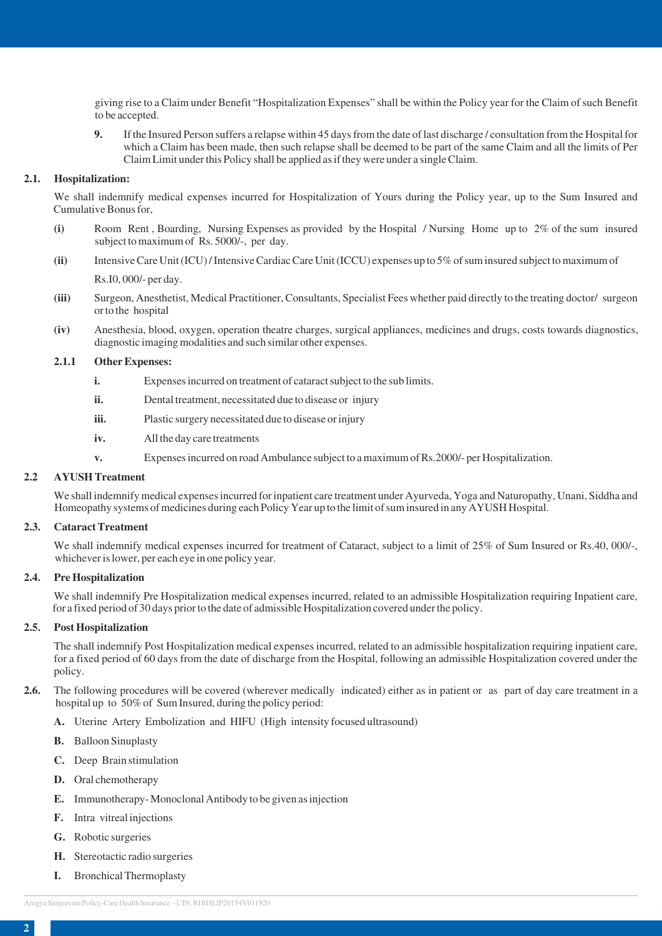giving rise to a Claim under Benefit "Hospitalization Expenses" shall be within the Policy year for the Claim of such Benefit to be accepted.

**9.** If the Insured Person suffers a relapse within 45 days from the date of last discharge / consultation from the Hospital for which a Claim has been made, then such relapse shall be deemed to be part of the same Claim and all the limits of Per Claim Limit under this Policy shall be applied as if they were under a single Claim.

#### **2.1. Hospitalization:**

We shall indemnify medical expenses incurred for Hospitalization of Yours during the Policy year, up to the Sum Insured and Cumulative Bonus for,

- **(i)** Room Rent , Boarding, Nursing Expenses as provided by the Hospital / Nursing Home up to 2% of the sum insured subject to maximum of Rs. 5000/-, per day.
- **(ii)** Intensive Care Unit (ICU) / Intensive Cardiac Care Unit (ICCU) expenses up to 5% of sum insured subject to maximum of

Rs.I0, 000/- per day.

- **(iii)** Surgeon, Anesthetist, Medical Practitioner, Consultants, Specialist Fees whether paid directly to the treating doctor/ surgeon or to the hospital
- **(iv)** Anesthesia, blood, oxygen, operation theatre charges, surgical appliances, medicines and drugs, costs towards diagnostics, diagnostic imaging modalities and such similar other expenses.

#### **2.1.1 Other Expenses:**

- **i.** Expenses incurred on treatment of cataract subject to the sub limits.
- **ii.** Dental treatment, necessitated due to disease or injury
- **iii.** Plastic surgery necessitated due to disease or injury
- **iv.** All the day care treatments
- **v.** Expenses incurred on road Ambulance subject to a maximum of Rs.2000/- per Hospitalization.

# **2.2 AYUSH Treatment**

We shall indemnify medical expenses incurred for inpatient care treatment under Ayurveda, Yoga and Naturopathy, Unani, Siddha and Homeopathy systems of medicines during each Policy Year up to the limit of sum insured in any AYUSH Hospital.

#### **2.3. Cataract Treatment**

We shall indemnify medical expenses incurred for treatment of Cataract, subject to a limit of 25% of Sum Insured or Rs.40, 000/-, whichever is lower, per each eye in one policy year.

#### **2.4. Pre Hospitalization**

We shall indemnify Pre Hospitalization medical expenses incurred, related to an admissible Hospitalization requiring Inpatient care, for a fixed period of 30 days prior to the date of admissible Hospitalization covered under the policy.

#### **2.5. Post Hospitalization**

The shall indemnify Post Hospitalization medical expenses incurred, related to an admissible hospitalization requiring inpatient care, for a fixed period of 60 days from the date of discharge from the Hospital, following an admissible Hospitalization covered under the policy.

- **2.6.** The following procedures will be covered (wherever medically indicated) either as in patient or as part of day care treatment in a hospital up to 50% of Sum Insured, during the policy period:
	- **A.** Uterine Artery Embolization and HIFU (High intensity focused ultrasound)
	- **B.** Balloon Sinuplasty
	- **C.** Deep Brain stimulation
	- **D.** Oral chemotherapy
	- **E.** Immunotherapy- Monoclonal Antibody to be given as injection
	- **F.** Intra vitreal injections
	- **G.** Robotic surgeries
	- **H.** Stereotactic radio surgeries
	- **I.** Bronchical Thermoplasty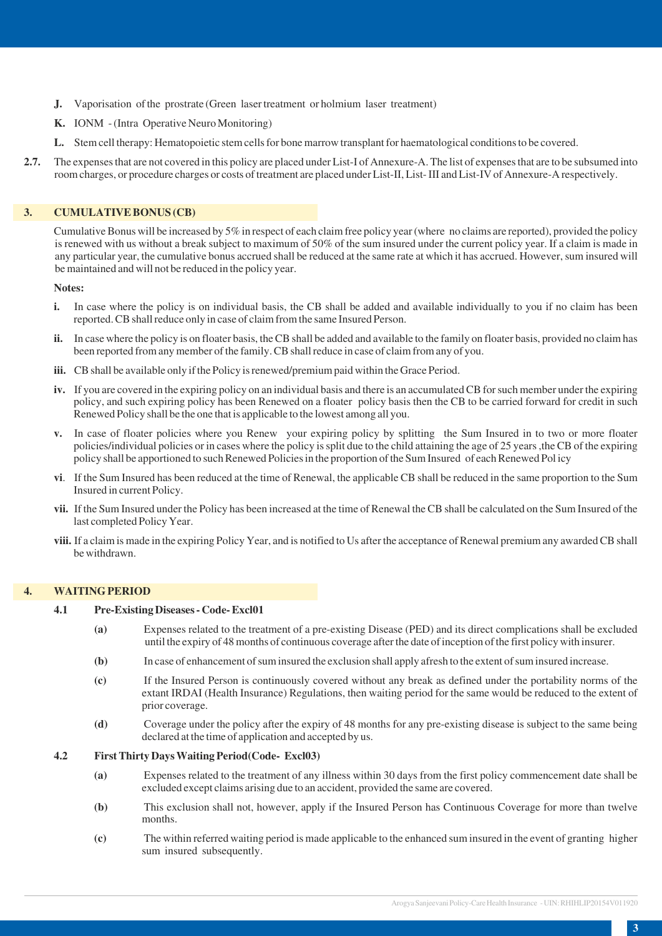- **J.** Vaporisation of the prostrate (Green laser treatment or holmium laser treatment)
- **K.** IONM (Intra Operative Neuro Monitoring)
- **L.** Stem cell therapy: Hematopoietic stem cells for bone marrow transplant for haematological conditions to be covered.
- **2.7.** The expenses that are not covered in this policy are placed under List-I of Annexure-A. The list of expenses that are to be subsumed into room charges, or procedure charges or costs of treatment are placed under List-II, List- III and List-IV of Annexure-A respectively.

# **3. CUMULATIVE BONUS (CB)**

Cumulative Bonus will be increased by 5% in respect of each claim free policy year (where no claims are reported), provided the policy is renewed with us without a break subject to maximum of 50% of the sum insured under the current policy year. If a claim is made in any particular year, the cumulative bonus accrued shall be reduced at the same rate at which it has accrued. However, sum insured will be maintained and will not be reduced in the policy year.

## **Notes:**

- **i.** In case where the policy is on individual basis, the CB shall be added and available individually to you if no claim has been reported. CB shall reduce only in case of claim from the same Insured Person.
- **ii.** In case where the policy is on floater basis, the CB shall be added and available to the family on floater basis, provided no claim has been reported from any member of the family. CB shall reduce in case of claim from any of you.
- **iii.** CB shall be available only if the Policy is renewed/premium paid within the Grace Period.
- **iv.** If you are covered in the expiring policy on an individual basis and there is an accumulated CB for such member under the expiring policy, and such expiring policy has been Renewed on a floater policy basis then the CB to be carried forward for credit in such Renewed Policy shall be the one that is applicable to the lowest among all you.
- **v.** In case of floater policies where you Renew your expiring policy by splitting the Sum Insured in to two or more floater policies/individual policies or in cases where the policy is split due to the child attaining the age of 25 years ,the CB of the expiring policy shall be apportioned to such Renewed Policies in the proportion of the Sum Insured of each Renewed Pol icy
- **vi**. If the Sum Insured has been reduced at the time of Renewal, the applicable CB shall be reduced in the same proportion to the Sum Insured in current Policy.
- **vii.** If the Sum Insured under the Policy has been increased at the time of Renewal the CB shall be calculated on the Sum Insured of the last completed Policy Year.
- **viii.** If a claim is made in the expiring Policy Year, and is notified to Us after the acceptance of Renewal premium any awarded CB shall be withdrawn.

# **4. WAITING PERIOD**

#### **4.1 Pre-Existing Diseases - Code- Excl01**

- **(a)** Expenses related to the treatment of a pre-existing Disease (PED) and its direct complications shall be excluded until the expiry of 48 months of continuous coverage after the date of inception of the first policy with insurer.
- **(b)** In case of enhancement of sum insured the exclusion shall apply afresh to the extent of sum insured increase.
- **(c)** If the Insured Person is continuously covered without any break as defined under the portability norms of the extant IRDAI (Health Insurance) Regulations, then waiting period for the same would be reduced to the extent of prior coverage.
- **(d)** Coverage under the policy after the expiry of 48 months for any pre-existing disease is subject to the same being declared at the time of application and accepted by us.

#### **4.2 First Thirty Days Waiting Period(Code- Excl03)**

- **(a)** Expenses related to the treatment of any illness within 30 days from the first policy commencement date shall be excluded except claims arising due to an accident, provided the same are covered.
- **(b)** This exclusion shall not, however, apply if the Insured Person has Continuous Coverage for more than twelve months.
- **(c)** The within referred waiting period is made applicable to the enhanced sum insured in the event of granting higher sum insured subsequently.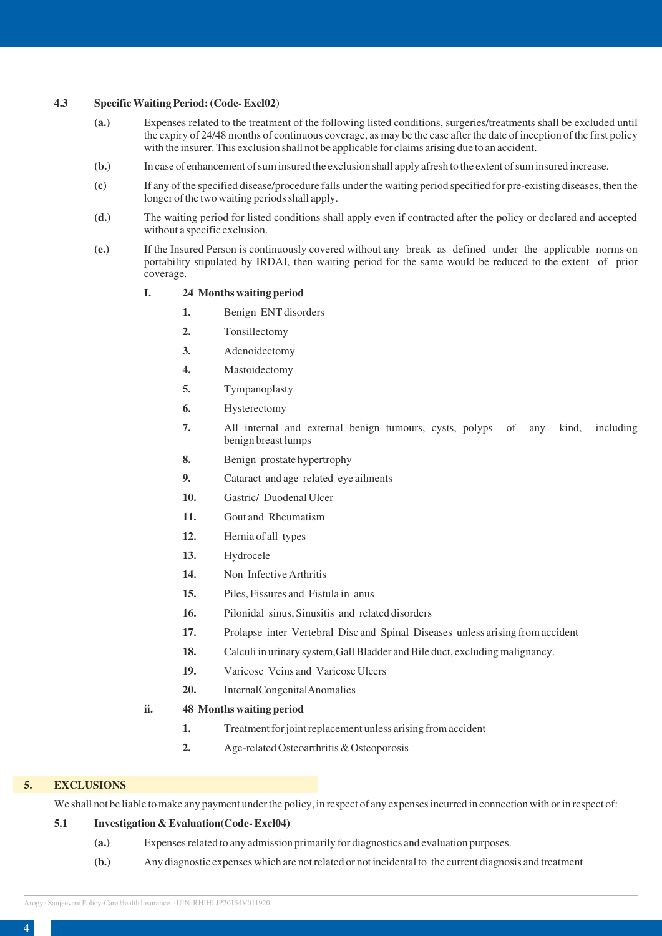### **4.3 Specific Waiting Period: (Code- Excl02)**

- **(a.)** Expenses related to the treatment of the following listed conditions, surgeries/treatments shall be excluded until the expiry of 24/48 months of continuous coverage, as may be the case after the date of inception of the first policy with the insurer. This exclusion shall not be applicable for claims arising due to an accident.
- **(b.)** In case of enhancement of sum insured the exclusion shall apply afresh to the extent of sum insured increase.
- **(c)** If any of the specified disease/procedure falls under the waiting period specified for pre-existing diseases, then the longer of the two waiting periods shall apply.
- **(d.)** The waiting period for listed conditions shall apply even if contracted after the policy or declared and accepted without a specific exclusion.
- **(e.)** If the Insured Person is continuously covered without any break as defined under the applicable norms on portability stipulated by IRDAI, then waiting period for the same would be reduced to the extent of prior coverage.
	- **I. 24 Months waiting period**
		- **1.** Benign ENT disorders
		- **2.** Tonsillectomy
		- **3.** Adenoidectomy
		- **4.** Mastoidectomy
		- **5.** Tympanoplasty
		- **6.** Hysterectomy
		- **7.** All internal and external benign tumours, cysts, polyps of any kind, including benign breast lumps
		- **8.** Benign prostate hypertrophy
		- **9.** Cataract and age related eye ailments
		- **10.** Gastric/ Duodenal Ulcer
		- **11.** Gout and Rheumatism
		- **12.** Hernia of all types
		- **13.** Hydrocele
		- **14.** Non Infective Arthritis
		- **15.** Piles, Fissures and Fistula in anus
		- **16.** Pilonidal sinus, Sinusitis and related disorders
		- **17.** Prolapse inter Vertebral Disc and Spinal Diseases unless arising from accident
		- **18.** Calculi in urinary system,Gall Bladder and Bile duct, excluding malignancy.
		- **19.** Varicose Veins and Varicose Ulcers
		- **20.** InternalCongenitalAnomalies
	- **ii. 48 Months waiting period**
		- **1.** Treatment for joint replacement unless arising from accident
		- **2.** Age-related Osteoarthritis & Osteoporosis

### **5. EXCLUSIONS**

We shall not be liable to make any payment under the policy, in respect of any expenses incurred in connection with or in respect of:

# **5.1 Investigation & Evaluation(Code- Excl04)**

- **(a.)** Expenses related to any admission primarily for diagnostics and evaluation purposes.
- **(b.)** Any diagnostic expenses which are not related or not incidental to the current diagnosis and treatment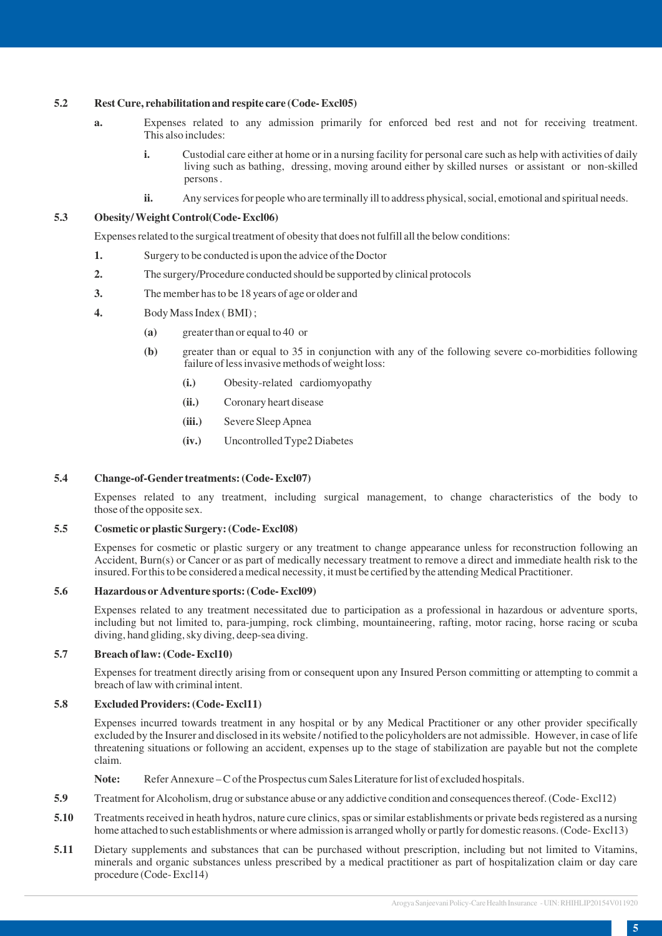# **5.2 Rest Cure, rehabilitation and respite care (Code- Excl05)**

- **a.** Expenses related to any admission primarily for enforced bed rest and not for receiving treatment. This also includes:
	- **i.** Custodial care either at home or in a nursing facility for personal care such as help with activities of daily living such as bathing, dressing, moving around either by skilled nurses or assistant or non-skilled persons .
	- **ii.** Any services for people who are terminally ill to address physical, social, emotional and spiritual needs.

### **5.3 Obesity/ Weight Control(Code- Excl06)**

Expenses related to the surgical treatment of obesity that does not fulfill all the below conditions:

- **1.** Surgery to be conducted is upon the advice of the Doctor
- **2.** The surgery/Procedure conducted should be supported by clinical protocols
- **3.** The member has to be 18 years of age or older and
- **4.** Body Mass Index ( BMI) ;
	- **(a)** greater than or equal to 40 or
	- **(b)** greater than or equal to 35 in conjunction with any of the following severe co-morbidities following failure of less invasive methods of weight loss:
		- **(i.)** Obesity-related cardiomyopathy
		- **(ii.)** Coronary heart disease
		- **(iii.)** Severe Sleep Apnea
		- **(iv.)** Uncontrolled Type2 Diabetes

#### **5.4 Change-of-Gender treatments: (Code- Excl07)**

Expenses related to any treatment, including surgical management, to change characteristics of the body to those of the opposite sex.

# **5.5 Cosmetic or plastic Surgery: (Code- Excl08)**

Expenses for cosmetic or plastic surgery or any treatment to change appearance unless for reconstruction following an Accident, Burn(s) or Cancer or as part of medically necessary treatment to remove a direct and immediate health risk to the insured. For this to be considered a medical necessity, it must be certified by the attending Medical Practitioner.

#### **5.6 Hazardous or Adventure sports: (Code- Excl09)**

Expenses related to any treatment necessitated due to participation as a professional in hazardous or adventure sports, including but not limited to, para-jumping, rock climbing, mountaineering, rafting, motor racing, horse racing or scuba diving, hand gliding, sky diving, deep-sea diving.

#### **5.7 Breach of law: (Code- Excl10)**

Expenses for treatment directly arising from or consequent upon any Insured Person committing or attempting to commit a breach of law with criminal intent.

### **5.8 Excluded Providers: (Code- Excl11)**

Expenses incurred towards treatment in any hospital or by any Medical Practitioner or any other provider specifically excluded by the Insurer and disclosed in its website / notified to the policyholders are not admissible. However, in case of life threatening situations or following an accident, expenses up to the stage of stabilization are payable but not the complete claim.

Note: Refer Annexure – C of the Prospectus cum Sales Literature for list of excluded hospitals.

- **5.9** Treatment for Alcoholism, drug or substance abuse or any addictive condition and consequences thereof. (Code-Excl12)
- **5.10** Treatments received in heath hydros, nature cure clinics, spas or similar establishments or private beds registered as a nursing home attached to such establishments or where admission is arranged wholly or partly for domestic reasons. (Code-Excl13)
- **5.11** Dietary supplements and substances that can be purchased without prescription, including but not limited to Vitamins, minerals and organic substances unless prescribed by a medical practitioner as part of hospitalization claim or day care procedure (Code- Excl14)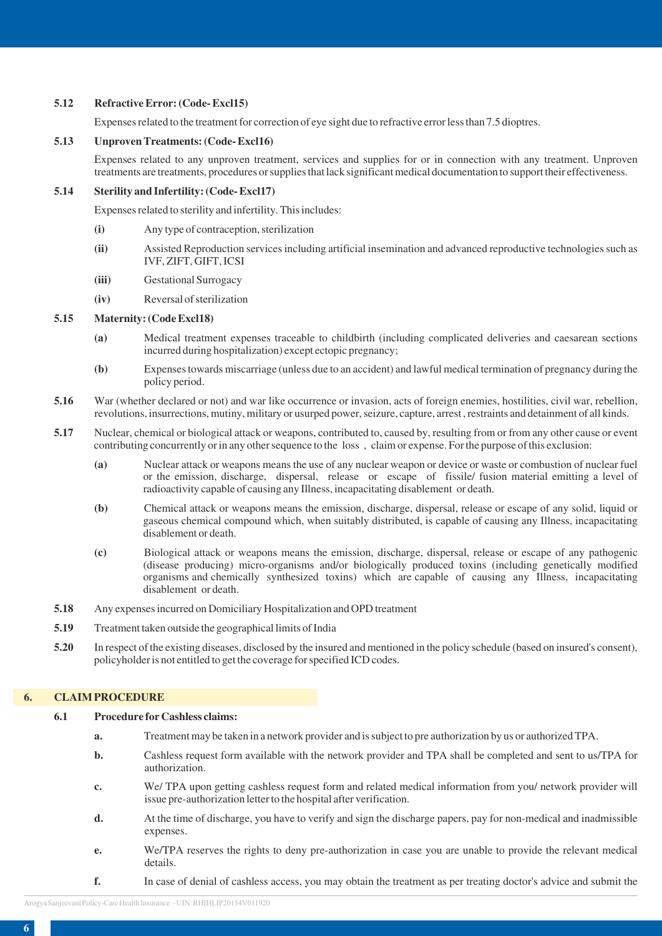# **5.12 Refractive Error: (Code- Excl15)**

Expenses related to the treatment for correction of eye sight due to refractive error less than 7.5 dioptres.

# **5.13 Unproven Treatments: (Code- Excl16)**

Expenses related to any unproven treatment, services and supplies for or in connection with any treatment. Unproven treatments are treatments, procedures or supplies that lack significant medical documentation to support their effectiveness.

# **5.14 Sterility and Infertility: (Code- Excl17)**

Expenses related to sterility and infertility. This includes:

- **(i)** Any type of contraception, sterilization
- **(ii)** Assisted Reproduction services including artificial insemination and advanced reproductive technologies such as IVF, ZIFT, GIFT, ICSI
- **(iii)** Gestational Surrogacy
- **(iv)** Reversal of sterilization

## **5.15 Maternity: (Code Excl18)**

- **(a)** Medical treatment expenses traceable to childbirth (including complicated deliveries and caesarean sections incurred during hospitalization) except ectopic pregnancy;
- **(b)** Expenses towards miscarriage (unless due to an accident) and lawful medical termination of pregnancy during the policy period.
- **5.16** War (whether declared or not) and war like occurrence or invasion, acts of foreign enemies, hostilities, civil war, rebellion, revolutions, insurrections, mutiny, military or usurped power, seizure, capture, arrest , restraints and detainment of all kinds.
- **5.17** Nuclear, chemical or biological attack or weapons, contributed to, caused by, resulting from or from any other cause or event contributing concurrently or in any other sequence to the loss , claim or expense. For the purpose of this exclusion:
	- **(a)** Nuclear attack or weapons means the use of any nuclear weapon or device or waste or combustion of nuclear fuel or the emission, discharge, dispersal, release or escape of fissile/ fusion material emitting a level of radioactivity capable of causing any Illness, incapacitating disablement or death.
	- **(b)** Chemical attack or weapons means the emission, discharge, dispersal, release or escape of any solid, liquid or gaseous chemical compound which, when suitably distributed, is capable of causing any Illness, incapacitating disablement or death.
	- **(c)** Biological attack or weapons means the emission, discharge, dispersal, release or escape of any pathogenic (disease producing) micro-organisms and/or biologically produced toxins (including genetically modified organisms and chemically synthesized toxins) which are capable of causing any Illness, incapacitating disablement or death.
- **5.18** Any expenses incurred on Domiciliary Hospitalization and OPD treatment
- **5.19** Treatment taken outside the geographical limits of India
- **5.20** In respect of the existing diseases, disclosed by the insured and mentioned in the policy schedule (based on insured's consent), policyholder is not entitled to get the coverage for specified ICD codes.

# **6. CLAIM PROCEDURE**

#### **6.1 Procedure for Cashless claims:**

- **a.** Treatment may be taken in a network provider and is subject to pre authorization by us or authorized TPA.
- **b.** Cashless request form available with the network provider and TPA shall be completed and sent to us/TPA for authorization.
- **c.** We/ TPA upon getting cashless request form and related medical information from you/ network provider will issue pre-authorization letter to the hospital after verification.
- **d.** At the time of discharge, you have to verify and sign the discharge papers, pay for non-medical and inadmissible expenses.
- **e.** We/TPA reserves the rights to deny pre-authorization in case you are unable to provide the relevant medical details.
- **f.** In case of denial of cashless access, you may obtain the treatment as per treating doctor's advice and submit the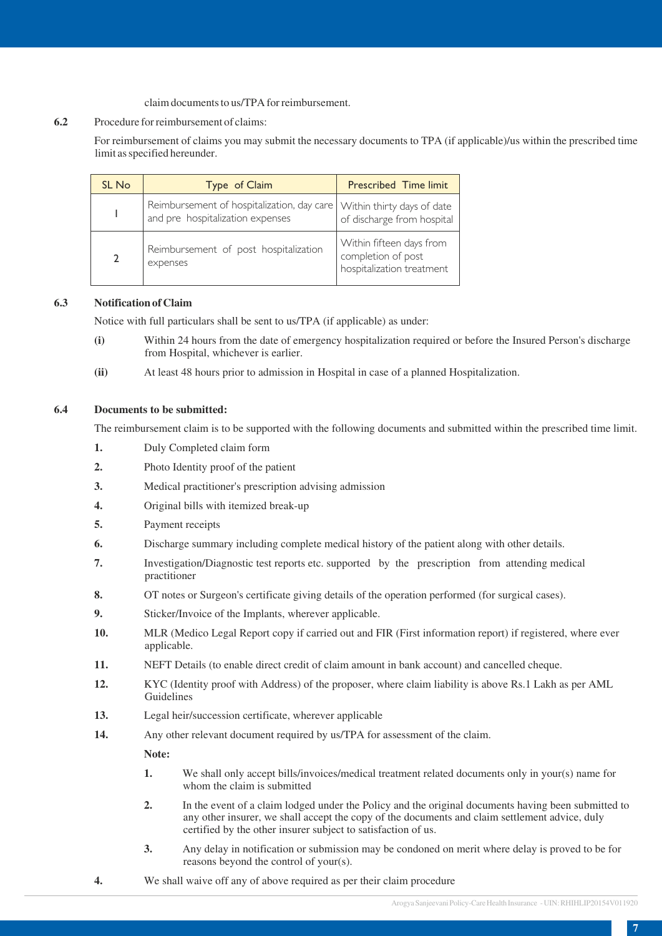# claim documents to us/TPA for reimbursement.

## **6.2** Procedure for reimbursement of claims:

For reimbursement of claims you may submit the necessary documents to TPA (if applicable)/us within the prescribed time limit as specified hereunder.

| SL No | Type of Claim                                                                  | <b>Prescribed Time limit</b>                                                |
|-------|--------------------------------------------------------------------------------|-----------------------------------------------------------------------------|
|       | Reimbursement of hospitalization, day care<br>and pre hospitalization expenses | Within thirty days of date<br>of discharge from hospital                    |
|       | Reimbursement of post hospitalization<br>expenses                              | Within fifteen days from<br>completion of post<br>hospitalization treatment |

# **6.3 Notification of Claim**

Notice with full particulars shall be sent to us/TPA (if applicable) as under:

- **(i)** Within 24 hours from the date of emergency hospitalization required or before the Insured Person's discharge from Hospital, whichever is earlier.
- **(ii)** At least 48 hours prior to admission in Hospital in case of a planned Hospitalization.

### **6.4 Documents to be submitted:**

The reimbursement claim is to be supported with the following documents and submitted within the prescribed time limit.

- **1.** Duly Completed claim form
- **2.** Photo Identity proof of the patient
- **3.** Medical practitioner's prescription advising admission
- **4.** Original bills with itemized break-up
- **5.** Payment receipts
- **6.** Discharge summary including complete medical history of the patient along with other details.
- **7.** Investigation/Diagnostic test reports etc. supported by the prescription from attending medical practitioner
- **8.** OT notes or Surgeon's certificate giving details of the operation performed (for surgical cases).
- **9.** Sticker/Invoice of the Implants, wherever applicable.
- **10.** MLR (Medico Legal Report copy if carried out and FIR (First information report) if registered, where ever applicable.
- **11.** NEFT Details (to enable direct credit of claim amount in bank account) and cancelled cheque.
- **12.** KYC (Identity proof with Address) of the proposer, where claim liability is above Rs.1 Lakh as per AML Guidelines
- **13.** Legal heir/succession certificate, wherever applicable
- **14.** Any other relevant document required by us/TPA for assessment of the claim.

#### **Note:**

- **1.** We shall only accept bills/invoices/medical treatment related documents only in your(s) name for whom the claim is submitted
- **2.** In the event of a claim lodged under the Policy and the original documents having been submitted to any other insurer, we shall accept the copy of the documents and claim settlement advice, duly certified by the other insurer subject to satisfaction of us.
- **3.** Any delay in notification or submission may be condoned on merit where delay is proved to be for reasons beyond the control of your(s).
- **4.** We shall waive off any of above required as per their claim procedure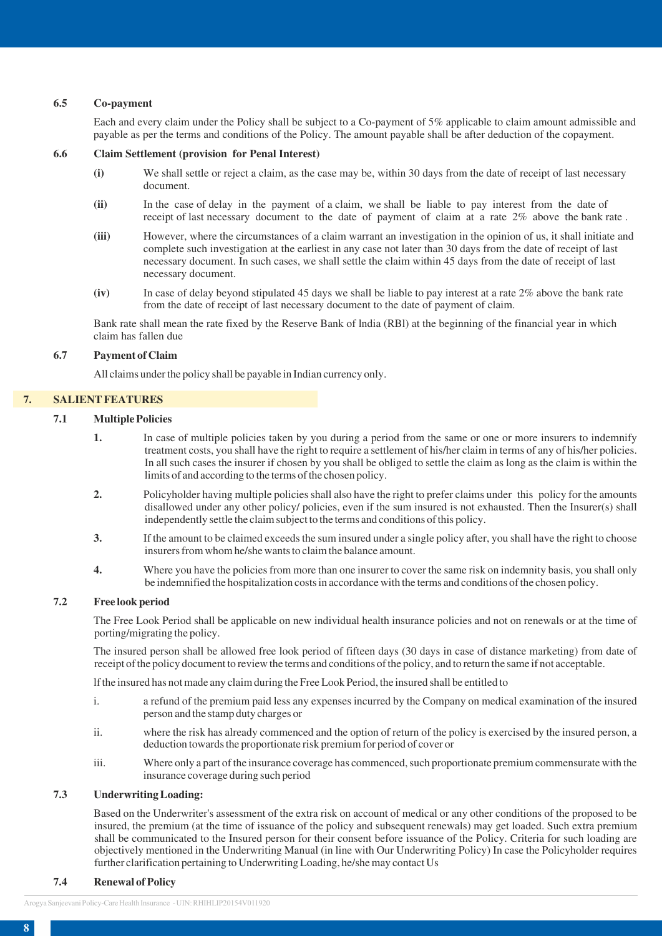### **6.5 Co-payment**

Each and every claim under the Policy shall be subject to a Co-payment of 5% applicable to claim amount admissible and payable as per the terms and conditions of the Policy. The amount payable shall be after deduction of the copayment.

#### **6.6 Claim Settlement (provision for Penal Interest)**

- **(i)** We shall settle or reject a claim, as the case may be, within 30 days from the date of receipt of last necessary document.
- **(ii)** In the case of delay in the payment of a claim, we shall be liable to pay interest from the date of receipt of last necessary document to the date of payment of claim at a rate 2% above the bank rate .
- **(iii)** However, where the circumstances of a claim warrant an investigation in the opinion of us, it shall initiate and complete such investigation at the earliest in any case not later than 30 days from the date of receipt of last necessary document. In such cases, we shall settle the claim within 45 days from the date of receipt of last necessary document.
- **(iv)** In case of delay beyond stipulated 45 days we shall be liable to pay interest at a rate 2% above the bank rate from the date of receipt of last necessary document to the date of payment of claim.

Bank rate shall mean the rate fixed by the Reserve Bank of lndia (RBl) at the beginning of the financial year in which claim has fallen due

#### **6.7 Payment of Claim**

All claims under the policy shall be payable in Indian currency only.

#### **7. SALIENT FEATURES**

### **7.1 Multiple Policies**

- **1.** In case of multiple policies taken by you during a period from the same or one or more insurers to indemnify treatment costs, you shall have the right to require a settlement of his/her claim in terms of any of his/her policies. In all such cases the insurer if chosen by you shall be obliged to settle the claim as long as the claim is within the limits of and according to the terms of the chosen policy.
- **2.** Policyholder having multiple policies shall also have the right to prefer claims under this policy for the amounts disallowed under any other policy/ policies, even if the sum insured is not exhausted. Then the Insurer(s) shall independently settle the claim subject to the terms and conditions of this policy.
- **3.** If the amount to be claimed exceeds the sum insured under a single policy after, you shall have the right to choose insurers from whom he/she wants to claim the balance amount.
- **4.** Where you have the policies from more than one insurer to cover the same risk on indemnity basis, you shall only be indemnified the hospitalization costs in accordance with the terms and conditions of the chosen policy.

#### **7.2 Free look period**

The Free Look Period shall be applicable on new individual health insurance policies and not on renewals or at the time of porting/migrating the policy.

The insured person shall be allowed free look period of fifteen days (30 days in case of distance marketing) from date of receipt of the policy document to review the terms and conditions of the policy, and to return the same if not acceptable.

lf the insured has not made any claim during the Free Look Period, the insured shall be entitled to

- i. a refund of the premium paid less any expenses incurred by the Company on medical examination of the insured person and the stamp duty charges or
- ii. where the risk has already commenced and the option of return of the policy is exercised by the insured person, a deduction towards the proportionate risk premium for period of cover or
- iii. Where only a part of the insurance coverage has commenced, such proportionate premium commensurate with the insurance coverage during such period

#### **7.3 Underwriting Loading:**

Based on the Underwriter's assessment of the extra risk on account of medical or any other conditions of the proposed to be insured, the premium (at the time of issuance of the policy and subsequent renewals) may get loaded. Such extra premium shall be communicated to the Insured person for their consent before issuance of the Policy. Criteria for such loading are objectively mentioned in the Underwriting Manual (in line with Our Underwriting Policy) In case the Policyholder requires further clarification pertaining to Underwriting Loading, he/she may contact Us

#### **7.4 Renewal of Policy**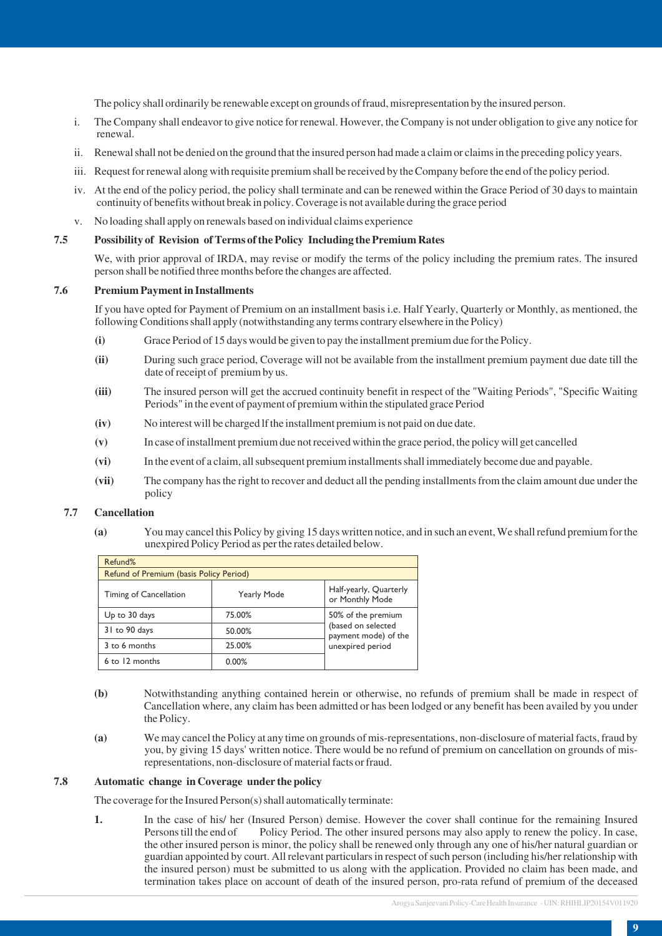The policy shall ordinarily be renewable except on grounds of fraud, misrepresentation by the insured person.

- i. The Company shall endeavor to give notice for renewal. However, the Company is not under obligation to give any notice for renewal.
- ii. Renewal shall not be denied on the ground that the insured person had made a claim or claims in the preceding policy years.
- iii. Request for renewal along with requisite premium shall be received by the Company before the end of the policy period.
- iv. At the end of the policy period, the policy shall terminate and can be renewed within the Grace Period of 30 days to maintain continuity of benefits without break in policy. Coverage is not available during the grace period
- v. No loading shall apply on renewals based on individual claims experience

# **7.5 Possibility of Revision of Terms of the Policy Including the Premium Rates**

We, with prior approval of IRDA, may revise or modify the terms of the policy including the premium rates. The insured person shall be notified three months before the changes are affected.

#### **7.6 Premium Payment in Installments**

If you have opted for Payment of Premium on an installment basis i.e. Half Yearly, Quarterly or Monthly, as mentioned, the following Conditions shall apply (notwithstanding any terms contrary elsewhere in the Policy)

- **(i)** Grace Period of 15 days would be given to pay the installment premium due for the Policy.
- **(ii)** During such grace period, Coverage will not be available from the installment premium payment due date till the date of receipt of premium by us.
- **(iii)** The insured person will get the accrued continuity benefit in respect of the "Waiting Periods", "Specific Waiting Periods" in the event of payment of premium within the stipulated grace Period
- **(iv)** No interest will be charged lf the installment premium is not paid on due date.
- **(v)** In case of installment premium due not received within the grace period, the policy will get cancelled
- **(vi)** In the event of a claim, all subsequent premium installments shall immediately become due and payable.
- **(vii)** The company has the right to recover and deduct all the pending installments from the claim amount due under the policy

# **7.7 Cancellation**

**(a)** You may cancel this Policy by giving 15 days written notice, and in such an event, We shall refund premium for the unexpired Policy Period as per the rates detailed below.

| Refund%                                 |                    |                                            |
|-----------------------------------------|--------------------|--------------------------------------------|
| Refund of Premium (basis Policy Period) |                    |                                            |
| Timing of Cancellation                  | <b>Yearly Mode</b> | Half-yearly, Quarterly<br>or Monthly Mode  |
| Up to 30 days                           | 75.00%             | 50% of the premium                         |
| 31 to 90 days                           | 50.00%             | (based on selected<br>payment mode) of the |
| 3 to 6 months                           | 25.00%             | unexpired period                           |
| 6 to 12 months                          | 0.00%              |                                            |

- **(b)** Notwithstanding anything contained herein or otherwise, no refunds of premium shall be made in respect of Cancellation where, any claim has been admitted or has been lodged or any benefit has been availed by you under the Policy.
- **(a)** We may cancel the Policy at any time on grounds of mis-representations, non-disclosure of material facts, fraud by you, by giving 15 days' written notice. There would be no refund of premium on cancellation on grounds of misrepresentations, non-disclosure of material facts or fraud.

#### **7.8 Automatic change in Coverage under the policy**

The coverage for the Insured Person(s) shall automatically terminate:

**1.** In the case of his/ her (Insured Person) demise. However the cover shall continue for the remaining Insured Persons till the end of Policy Period. The other insured persons may also apply to renew the policy. In case, the other insured person is minor, the policy shall be renewed only through any one of his/her natural guardian or guardian appointed by court. All relevant particulars in respect of such person (including his/her relationship with the insured person) must be submitted to us along with the application. Provided no claim has been made, and termination takes place on account of death of the insured person, pro-rata refund of premium of the deceased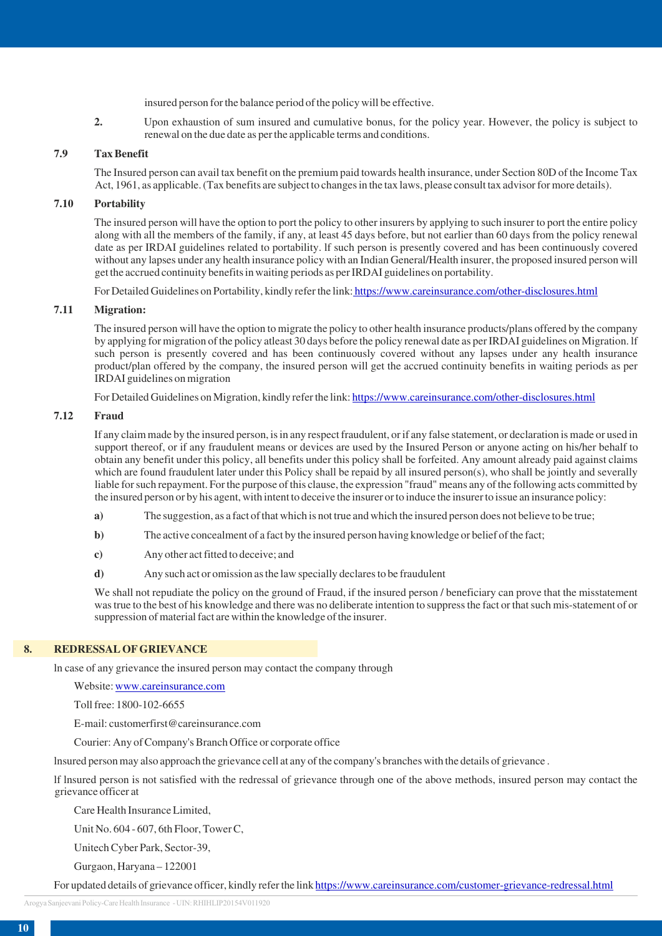insured person for the balance period of the policy will be effective.

**2.** Upon exhaustion of sum insured and cumulative bonus, for the policy year. However, the policy is subject to renewal on the due date as per the applicable terms and conditions.

# **7.9 Tax Benefit**

The Insured person can avail tax benefit on the premium paid towards health insurance, under Section 80D of the Income Tax Act, 1961, as applicable. (Tax benefits are subject to changes in the tax laws, please consult tax advisor for more details).

# **7.10 Portability**

The insured person will have the option to port the policy to other insurers by applying to such insurer to port the entire policy along with all the members of the family, if any, at least 45 days before, but not earlier than 60 days from the policy renewal date as per IRDAI guidelines related to portability. lf such person is presently covered and has been continuously covered without any lapses under any health insurance policy with an Indian General/Health insurer, the proposed insured person will get the accrued continuity benefits in waiting periods as per IRDAI guidelines on portability.

For Detailed Guidelines on Portability, kindly refer the link: <https://www.careinsurance.com/other-disclosures.html>

# **7.11 Migration:**

The insured person will have the option to migrate the policy to other health insurance products/plans offered by the company by applying for migration of the policy atleast 30 days before the policy renewal date as per IRDAI guidelines on Migration. lf such person is presently covered and has been continuously covered without any lapses under any health insurance product/plan offered by the company, the insured person will get the accrued continuity benefits in waiting periods as per IRDAI guidelines on migration

For Detailed Guidelines on Migration, kindly refer the link:<https://www.careinsurance.com/other-disclosures.html>

#### **7.12 Fraud**

If any claim made by the insured person, is in any respect fraudulent, or if any false statement, or declaration is made or used in support thereof, or if any fraudulent means or devices are used by the Insured Person or anyone acting on his/her behalf to obtain any benefit under this policy, all benefits under this policy shall be forfeited. Any amount already paid against claims which are found fraudulent later under this Policy shall be repaid by all insured person(s), who shall be jointly and severally liable for such repayment. For the purpose of this clause, the expression "fraud" means any of the following acts committed by the insured person or by his agent, with intent to deceive the insurer or to induce the insurer to issue an insurance policy:

- **a)** The suggestion, as a fact of that which is not true and which the insured person does not believe to be true;
- **b**) The active concealment of a fact by the insured person having knowledge or belief of the fact;
- **c)** Any other act fitted to deceive; and
- **d)** Any such act or omission as the law specially declares to be fraudulent

We shall not repudiate the policy on the ground of Fraud, if the insured person */* beneficiary can prove that the misstatement was true to the best of his knowledge and there was no deliberate intention to suppress the fact or that such mis-statement of or suppression of material fact are within the knowledge of the insurer.

## **8. REDRESSAL OF GRIEVANCE**

ln case of any grievance the insured person may contact the company through

Website: [www.careinsurance.com](http://www.careinsurance.com)

Toll free: 1800-102-6655

E-mail: customerfirst@careinsurance.com

Courier: Any of Company's Branch Office or corporate office

lnsured person may also approach the grievance cell at any of the company's branches with the details of grievance .

lf lnsured person is not satisfied with the redressal of grievance through one of the above methods, insured person may contact the grievance officer at

Care Health Insurance Limited,

Unit No. 604 - 607, 6th Floor, Tower C,

Unitech Cyber Park, Sector-39,

Gurgaon, Haryana – 122001

For updated details of grievance officer, kindly refer the link<https://www.careinsurance.com/customer-grievance-redressal.html>

Arogya Sanjeevani Policy-Care Health Insurance - UIN: RHIHLIP20154V011920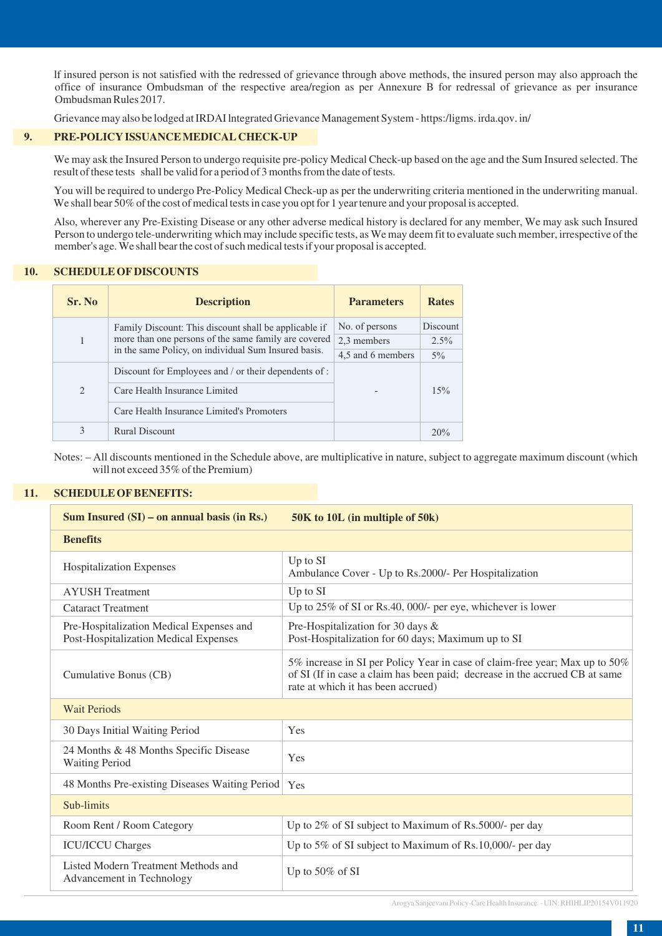lf insured person is not satisfied with the redressed of grievance through above methods, the insured person may also approach the office of insurance Ombudsman of the respective area/region as per Annexure B for redressal of grievance as per insurance Ombudsman Rules 2017.

Grievance may also be lodged at IRDAI lntegrated Grievance Management System - https:/ligms. irda.qov. in/

# **9. PRE-POLICY ISSUANCE MEDICAL CHECK-UP**

We may ask the Insured Person to undergo requisite pre-policy Medical Check-up based on the age and the Sum Insured selected. The result of these tests shall be valid for a period of 3 months from the date of tests.

You will be required to undergo Pre-Policy Medical Check-up as per the underwriting criteria mentioned in the underwriting manual. We shall bear 50% of the cost of medical tests in case you opt for 1 year tenure and your proposal is accepted.

Also, wherever any Pre-Existing Disease or any other adverse medical history is declared for any member, We may ask such Insured Person to undergo tele-underwriting which may include specific tests, as We may deem fit to evaluate such member, irrespective of the member's age. We shall bear the cost of such medical tests if your proposal is accepted.

### **10. SCHEDULE OF DISCOUNTS**

| Sr. No        | <b>Description</b>                                                                                                                                                    | <b>Parameters</b> | <b>Rates</b> |
|---------------|-----------------------------------------------------------------------------------------------------------------------------------------------------------------------|-------------------|--------------|
|               | Family Discount: This discount shall be applicable if<br>more than one persons of the same family are covered<br>in the same Policy, on individual Sum Insured basis. | No. of persons    | Discount     |
|               |                                                                                                                                                                       | 2.3 members       | $2.5\%$      |
|               |                                                                                                                                                                       | 4,5 and 6 members | $5\%$        |
| $\mathcal{L}$ | Discount for Employees and / or their dependents of :                                                                                                                 |                   |              |
|               | Care Health Insurance Limited                                                                                                                                         |                   | 15%          |
|               | Care Health Insurance Limited's Promoters                                                                                                                             |                   |              |
| 3             | Rural Discount                                                                                                                                                        |                   | 20%          |

Notes: – All discounts mentioned in the Schedule above, are multiplicative in nature, subject to aggregate maximum discount (which will not exceed 35% of the Premium)

# **11. SCHEDULE OF BENEFITS:**

| Sum Insured $(SI)$ – on annual basis (in Rs.)                                     | 50K to 10L (in multiple of 50k)                                                                                                                                                                  |
|-----------------------------------------------------------------------------------|--------------------------------------------------------------------------------------------------------------------------------------------------------------------------------------------------|
| <b>Benefits</b>                                                                   |                                                                                                                                                                                                  |
| <b>Hospitalization Expenses</b>                                                   | Up to SI<br>Ambulance Cover - Up to Rs.2000/- Per Hospitalization                                                                                                                                |
| <b>AYUSH</b> Treatment                                                            | Up to SI                                                                                                                                                                                         |
| <b>Cataract Treatment</b>                                                         | Up to 25% of SI or Rs.40, 000/- per eye, whichever is lower                                                                                                                                      |
| Pre-Hospitalization Medical Expenses and<br>Post-Hospitalization Medical Expenses | Pre-Hospitalization for 30 days &<br>Post-Hospitalization for 60 days; Maximum up to SI                                                                                                          |
| Cumulative Bonus (CB)                                                             | 5% increase in SI per Policy Year in case of claim-free year; Max up to 50%<br>of SI (If in case a claim has been paid; decrease in the accrued CB at same<br>rate at which it has been accrued) |
| <b>Wait Periods</b>                                                               |                                                                                                                                                                                                  |
| 30 Days Initial Waiting Period                                                    | Yes                                                                                                                                                                                              |
| 24 Months & 48 Months Specific Disease<br><b>Waiting Period</b>                   | Yes                                                                                                                                                                                              |
| 48 Months Pre-existing Diseases Waiting Period                                    | Yes                                                                                                                                                                                              |
| Sub-limits                                                                        |                                                                                                                                                                                                  |
| Room Rent / Room Category                                                         | Up to 2% of SI subject to Maximum of Rs.5000/- per day                                                                                                                                           |
| <b>ICU/ICCU Charges</b>                                                           | Up to 5% of SI subject to Maximum of Rs.10,000/- per day                                                                                                                                         |
| Listed Modern Treatment Methods and<br>Advancement in Technology                  | Up to 50% of SI                                                                                                                                                                                  |

Arogya Sanjeevani Policy-Care Health Insurance - UIN: RHIHLIP20154V011920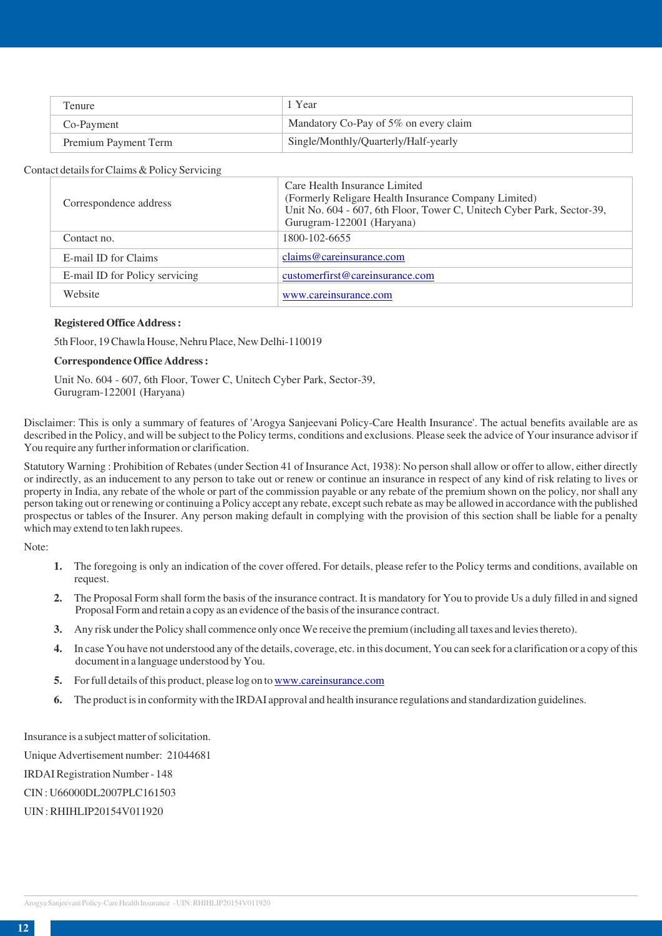| Tenure :             | 1 Year                                |
|----------------------|---------------------------------------|
| Co-Payment           | Mandatory Co-Pay of 5% on every claim |
| Premium Payment Term | Single/Monthly/Quarterly/Half-yearly  |

# Contact details for Claims & Policy Servicing

| Correspondence address         | Care Health Insurance Limited<br>(Formerly Religare Health Insurance Company Limited)<br>Unit No. 604 - 607, 6th Floor, Tower C, Unitech Cyber Park, Sector-39,<br>Gurugram-122001 (Haryana) |
|--------------------------------|----------------------------------------------------------------------------------------------------------------------------------------------------------------------------------------------|
| Contact no.                    | 1800-102-6655                                                                                                                                                                                |
| E-mail ID for Claims           | claims@careinsurance.com                                                                                                                                                                     |
| E-mail ID for Policy servicing | customerfirst@careinsurance.com                                                                                                                                                              |
| Website                        | www.careinsurance.com                                                                                                                                                                        |

#### **Registered Office Address :**

5th Floor, 19 Chawla House, Nehru Place, New Delhi-110019

#### **Correspondence Office Address :**

Unit No. 604 - 607, 6th Floor, Tower C, Unitech Cyber Park, Sector-39, Gurugram-122001 (Haryana)

Disclaimer: This is only a summary of features of 'Arogya Sanjeevani Policy-Care Health Insurance'. The actual benefits available are as described in the Policy, and will be subject to the Policy terms, conditions and exclusions. Please seek the advice of Your insurance advisor if You require any further information or clarification.

Statutory Warning : Prohibition of Rebates (under Section 41 of Insurance Act, 1938): No person shall allow or offer to allow, either directly or indirectly, as an inducement to any person to take out or renew or continue an insurance in respect of any kind of risk relating to lives or property in India, any rebate of the whole or part of the commission payable or any rebate of the premium shown on the policy, nor shall any person taking out or renewing or continuing a Policy accept any rebate, except such rebate as may be allowed in accordance with the published prospectus or tables of the Insurer. Any person making default in complying with the provision of this section shall be liable for a penalty which may extend to ten lakh rupees.

Note:

- **1.** The foregoing is only an indication of the cover offered. For details, please refer to the Policy terms and conditions, available on request.
- **2.** The Proposal Form shall form the basis of the insurance contract. It is mandatory for You to provide Us a duly filled in and signed Proposal Form and retain a copy as an evidence of the basis of the insurance contract.
- **3.** Any risk under the Policy shall commence only once We receive the premium (including all taxes and levies thereto).
- **4.** In case You have not understood any of the details, coverage, etc. in this document, You can seek for a clarification or a copy of this document in a language understood by You.
- **5.** For full details of this product, please log on to [www.careinsurance.com](https://www.careinsurance.com/other-disclosures.html)
- **6.** The product is in conformity with the IRDAI approval and health insurance regulations and standardization guidelines.

Insurance is a subject matter of solicitation.

Unique Advertisement number: 21044681

IRDAI Registration Number - 148

CIN : U66000DL2007PLC161503

UIN : RHIHLIP20154V011920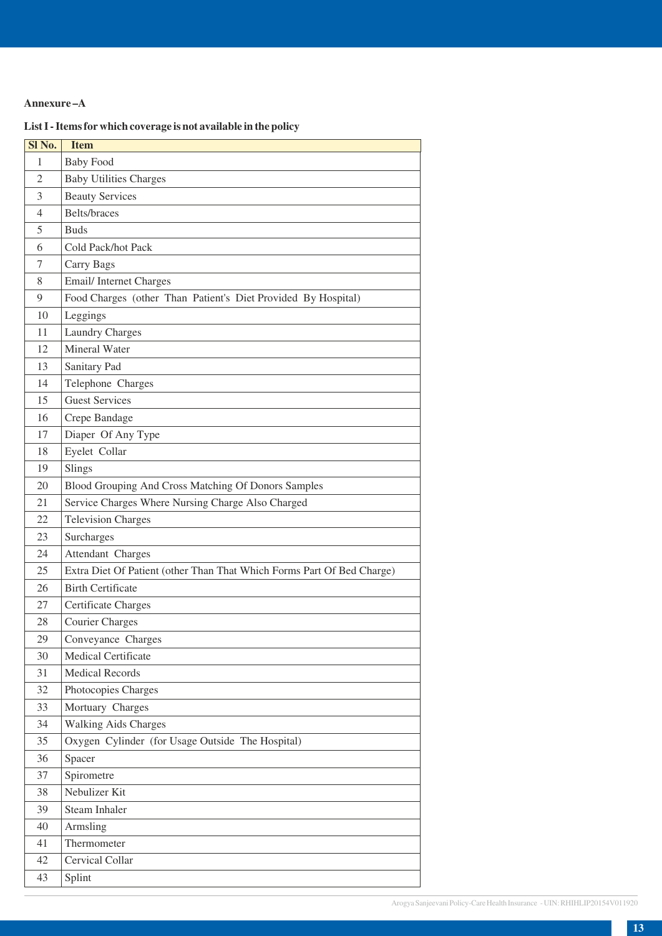# **Annexure –A**

# **List I - Items for which coverage is not available in the policy**

| Sl No.         | <b>Item</b>                                                            |
|----------------|------------------------------------------------------------------------|
| 1              | <b>Baby Food</b>                                                       |
| $\overline{2}$ | <b>Baby Utilities Charges</b>                                          |
| 3              | <b>Beauty Services</b>                                                 |
| 4              | Belts/braces                                                           |
| 5              | <b>Buds</b>                                                            |
| 6              | Cold Pack/hot Pack                                                     |
| 7              | Carry Bags                                                             |
| 8              | Email/Internet Charges                                                 |
| 9              | Food Charges (other Than Patient's Diet Provided By Hospital)          |
| 10             | Leggings                                                               |
| 11             | <b>Laundry Charges</b>                                                 |
| 12             | Mineral Water                                                          |
| 13             | Sanitary Pad                                                           |
| 14             | Telephone Charges                                                      |
| 15             | <b>Guest Services</b>                                                  |
| 16             | Crepe Bandage                                                          |
| 17             | Diaper Of Any Type                                                     |
| 18             | Eyelet Collar                                                          |
| 19             | Slings                                                                 |
| 20             | Blood Grouping And Cross Matching Of Donors Samples                    |
| 21             | Service Charges Where Nursing Charge Also Charged                      |
| 22             | <b>Television Charges</b>                                              |
| 23             | Surcharges                                                             |
| 24             | Attendant Charges                                                      |
| 25             | Extra Diet Of Patient (other Than That Which Forms Part Of Bed Charge) |
| 26             | <b>Birth Certificate</b>                                               |
| 27             | <b>Certificate Charges</b>                                             |
| 28             | <b>Courier Charges</b>                                                 |
| 29             | Conveyance Charges                                                     |
| 30             | <b>Medical Certificate</b>                                             |
| 31             | <b>Medical Records</b>                                                 |
| 32             | Photocopies Charges                                                    |
| 33             | Mortuary Charges                                                       |
| 34             | <b>Walking Aids Charges</b>                                            |
| 35             | Oxygen Cylinder (for Usage Outside The Hospital)                       |
| 36             | Spacer                                                                 |
| 37             | Spirometre                                                             |
| 38             | Nebulizer Kit                                                          |
| 39             | <b>Steam Inhaler</b>                                                   |
| 40             | Armsling                                                               |
| 41             | Thermometer                                                            |
| 42             | Cervical Collar                                                        |
| 43             | Splint                                                                 |
|                |                                                                        |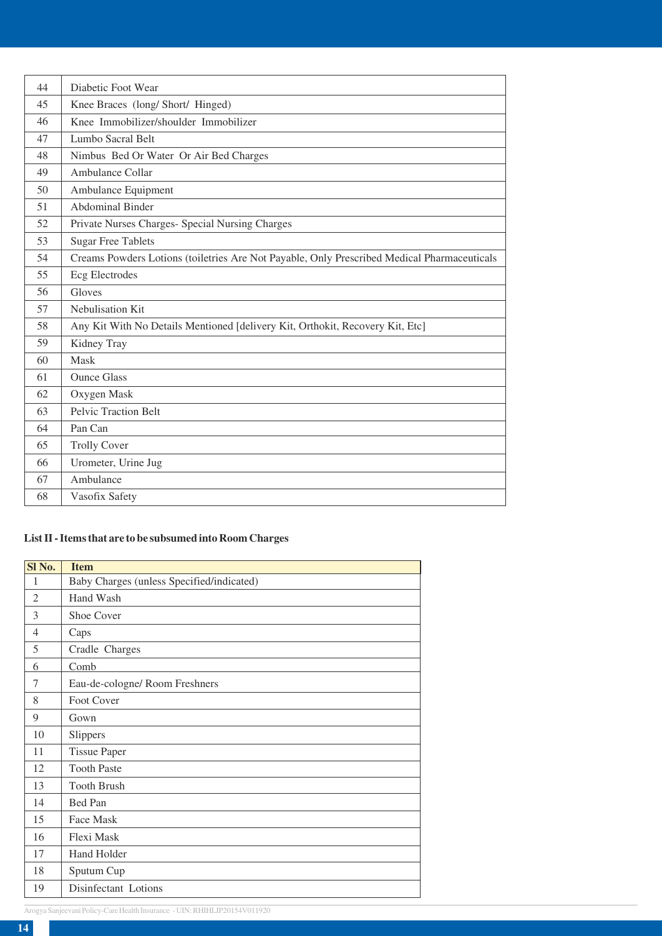| 44 | Diabetic Foot Wear                                                                          |
|----|---------------------------------------------------------------------------------------------|
| 45 | Knee Braces (long/Short/Hinged)                                                             |
| 46 | Knee Immobilizer/shoulder Immobilizer                                                       |
| 47 | Lumbo Sacral Belt                                                                           |
| 48 | Nimbus Bed Or Water Or Air Bed Charges                                                      |
| 49 | Ambulance Collar                                                                            |
| 50 | Ambulance Equipment                                                                         |
| 51 | <b>Abdominal Binder</b>                                                                     |
| 52 | Private Nurses Charges- Special Nursing Charges                                             |
| 53 | <b>Sugar Free Tablets</b>                                                                   |
| 54 | Creams Powders Lotions (toiletries Are Not Payable, Only Prescribed Medical Pharmaceuticals |
| 55 | <b>Ecg Electrodes</b>                                                                       |
| 56 | Gloves                                                                                      |
| 57 | Nebulisation Kit                                                                            |
| 58 | Any Kit With No Details Mentioned [delivery Kit, Orthokit, Recovery Kit, Etc]               |
| 59 | Kidney Tray                                                                                 |
| 60 | Mask                                                                                        |
| 61 | <b>Ounce Glass</b>                                                                          |
| 62 | Oxygen Mask                                                                                 |
| 63 | <b>Pelvic Traction Belt</b>                                                                 |
| 64 | Pan Can                                                                                     |
| 65 | <b>Trolly Cover</b>                                                                         |
| 66 | Urometer, Urine Jug                                                                         |
| 67 | Ambulance                                                                                   |
| 68 | Vasofix Safety                                                                              |

# **List II - Items that are to be subsumed into Room Charges**

| SI <sub>No.</sub> | <b>Item</b>                               |
|-------------------|-------------------------------------------|
| 1                 | Baby Charges (unless Specified/indicated) |
| $\overline{2}$    | Hand Wash                                 |
| 3                 | Shoe Cover                                |
| $\overline{4}$    | Caps                                      |
| 5                 | Cradle Charges                            |
| 6                 | Comb                                      |
| 7                 | Eau-de-cologne/ Room Freshners            |
| 8                 | Foot Cover                                |
| 9                 | Gown                                      |
| 10                | Slippers                                  |
| 11                | <b>Tissue Paper</b>                       |
| 12                | <b>Tooth Paste</b>                        |
| 13                | <b>Tooth Brush</b>                        |
| 14                | Bed Pan                                   |
| 15                | Face Mask                                 |
| 16                | Flexi Mask                                |
| 17                | <b>Hand Holder</b>                        |
| 18                | Sputum Cup                                |
| 19                | Disinfectant Lotions                      |

Arogya Sanjeevani Policy-Care Health Insurance - UIN: RHIHLIP20154V011920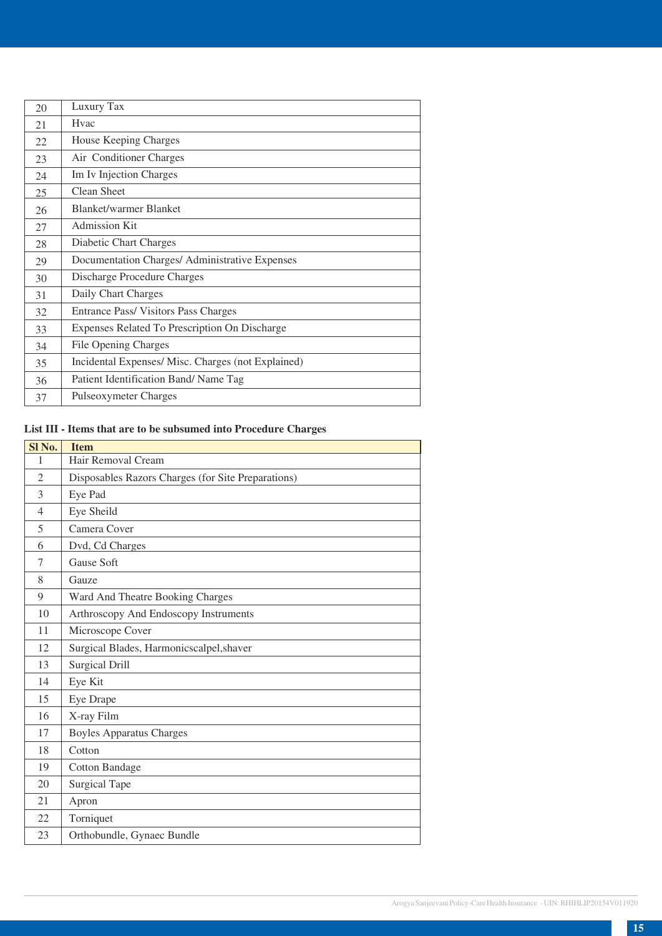| 20 | Luxury Tax                                        |
|----|---------------------------------------------------|
| 21 | <b>Hyac</b>                                       |
| 22 | House Keeping Charges                             |
| 23 | Air Conditioner Charges                           |
| 24 | Im Iv Injection Charges                           |
| 25 | Clean Sheet                                       |
| 26 | <b>Blanket/warmer Blanket</b>                     |
| 27 | <b>Admission Kit</b>                              |
| 28 | Diabetic Chart Charges                            |
| 29 | Documentation Charges/ Administrative Expenses    |
| 30 | Discharge Procedure Charges                       |
| 31 | Daily Chart Charges                               |
| 32 | Entrance Pass/Visitors Pass Charges               |
| 33 | Expenses Related To Prescription On Discharge     |
| 34 | File Opening Charges                              |
| 35 | Incidental Expenses/Misc. Charges (not Explained) |
| 36 | Patient Identification Band/Name Tag              |
| 37 | Pulseoxymeter Charges                             |

# **List III - Items that are to be subsumed into Procedure Charges**

| SI <sub>No.</sub> | <b>Item</b>                                        |
|-------------------|----------------------------------------------------|
| 1                 | Hair Removal Cream                                 |
| $\overline{2}$    | Disposables Razors Charges (for Site Preparations) |
| 3                 | Eye Pad                                            |
| $\overline{4}$    | Eye Sheild                                         |
| 5                 | Camera Cover                                       |
| 6                 | Dvd, Cd Charges                                    |
| 7                 | Gause Soft                                         |
| 8                 | Gauze                                              |
| 9                 | Ward And Theatre Booking Charges                   |
| 10                | Arthroscopy And Endoscopy Instruments              |
| 11                | Microscope Cover                                   |
| 12                | Surgical Blades, Harmonicscalpel, shaver           |
| 13                | <b>Surgical Drill</b>                              |
| 14                | Eye Kit                                            |
| 15                | Eye Drape                                          |
| 16                | X-ray Film                                         |
| 17                | <b>Boyles Apparatus Charges</b>                    |
| 18                | Cotton                                             |
| 19                | <b>Cotton Bandage</b>                              |
| 20                | <b>Surgical Tape</b>                               |
| 21                | Apron                                              |
| 22                | Torniquet                                          |
| 23                | Orthobundle, Gynaec Bundle                         |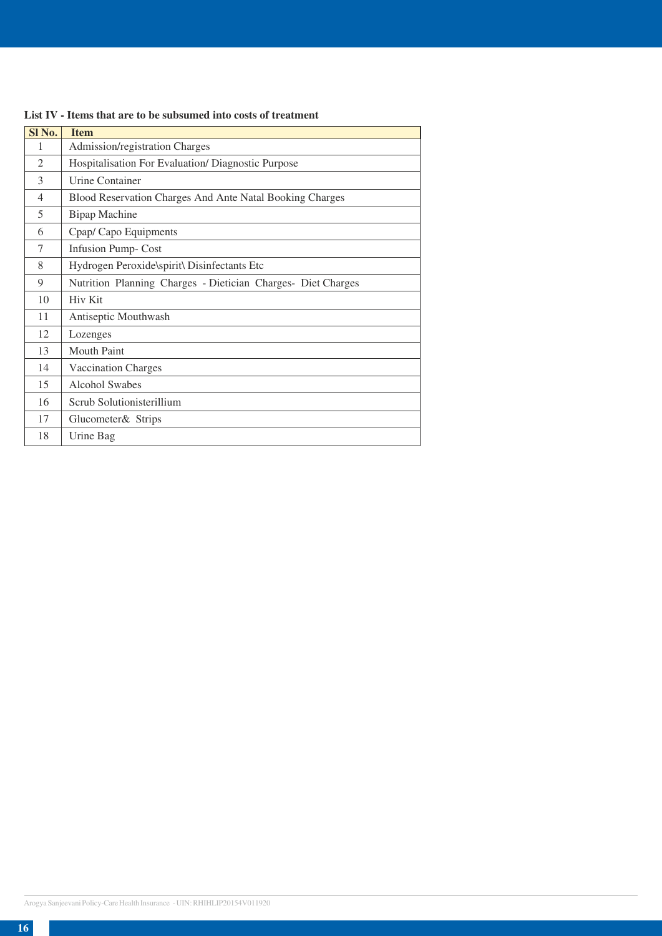| Sl No.         | <b>Item</b>                                                  |
|----------------|--------------------------------------------------------------|
| 1              | Admission/registration Charges                               |
| $\mathfrak{D}$ | Hospitalisation For Evaluation/Diagnostic Purpose            |
| 3              | Urine Container                                              |
| $\overline{4}$ | Blood Reservation Charges And Ante Natal Booking Charges     |
| 5              | <b>Bipap Machine</b>                                         |
| 6              | Cpap/ Capo Equipments                                        |
| 7              | <b>Infusion Pump-Cost</b>                                    |
| 8              | Hydrogen Peroxide\spirit\ Disinfectants Etc                  |
| 9              | Nutrition Planning Charges - Dietician Charges- Diet Charges |
| 10             | Hiv Kit                                                      |
| 11             | Antiseptic Mouthwash                                         |
| 12             | Lozenges                                                     |
| 13             | <b>Mouth Paint</b>                                           |
| 14             | <b>Vaccination Charges</b>                                   |
| 15             | <b>Alcohol Swabes</b>                                        |
| 16             | Scrub Solutionisterillium                                    |
| 17             | Glucometer& Strips                                           |
| 18             | Urine Bag                                                    |

# **List IV - Items that are to be subsumed into costs of treatment**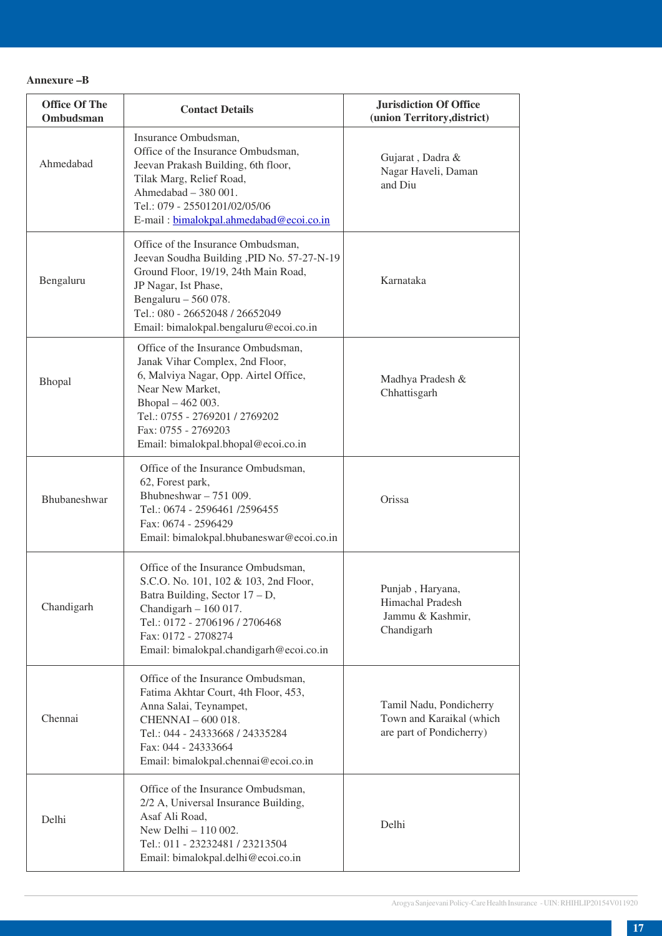| <b>Office Of The</b><br><b>Ombudsman</b> | <b>Contact Details</b>                                                                                                                                                                                                                                  | <b>Jurisdiction Of Office</b><br>(union Territory, district)                    |
|------------------------------------------|---------------------------------------------------------------------------------------------------------------------------------------------------------------------------------------------------------------------------------------------------------|---------------------------------------------------------------------------------|
| Ahmedabad                                | Insurance Ombudsman,<br>Office of the Insurance Ombudsman,<br>Jeevan Prakash Building, 6th floor,<br>Tilak Marg, Relief Road,<br>Ahmedabad - 380 001.<br>Tel.: 079 - 25501201/02/05/06<br>E-mail: bimalokpal.ahmedabad@ecoi.co.in                       | Gujarat, Dadra &<br>Nagar Haveli, Daman<br>and Diu                              |
| Bengaluru                                | Office of the Insurance Ombudsman,<br>Jeevan Soudha Building , PID No. 57-27-N-19<br>Ground Floor, 19/19, 24th Main Road,<br>JP Nagar, Ist Phase,<br>Bengaluru $-560078$ .<br>Tel.: 080 - 26652048 / 26652049<br>Email: bimalokpal.bengaluru@ecoi.co.in | Karnataka                                                                       |
| Bhopal                                   | Office of the Insurance Ombudsman,<br>Janak Vihar Complex, 2nd Floor,<br>6, Malviya Nagar, Opp. Airtel Office,<br>Near New Market,<br>Bhopal - 462 003.<br>Tel.: 0755 - 2769201 / 2769202<br>Fax: 0755 - 2769203<br>Email: bimalokpal.bhopal@ecoi.co.in | Madhya Pradesh &<br>Chhattisgarh                                                |
| Bhubaneshwar                             | Office of the Insurance Ombudsman,<br>62, Forest park,<br>Bhubneshwar $-751009$ .<br>Tel.: 0674 - 2596461 /2596455<br>Fax: 0674 - 2596429<br>Email: bimalokpal.bhubaneswar@ecoi.co.in                                                                   | Orissa                                                                          |
| Chandigarh                               | Office of the Insurance Ombudsman,<br>S.C.O. No. 101, 102 & 103, 2nd Floor,<br>Batra Building, Sector 17 – D,<br>Chandigarh $-160017$ .<br>Tel.: 0172 - 2706196 / 2706468<br>Fax: 0172 - 2708274<br>Email: bimalokpal.chandigarh@ecoi.co.in             | Punjab, Haryana,<br><b>Himachal Pradesh</b><br>Jammu & Kashmir,<br>Chandigarh   |
| Chennai                                  | Office of the Insurance Ombudsman,<br>Fatima Akhtar Court, 4th Floor, 453,<br>Anna Salai, Teynampet,<br>CHENNAI - 600 018.<br>Tel.: 044 - 24333668 / 24335284<br>Fax: 044 - 24333664<br>Email: bimalokpal.chennai@ecoi.co.in                            | Tamil Nadu, Pondicherry<br>Town and Karaikal (which<br>are part of Pondicherry) |
| Delhi                                    | Office of the Insurance Ombudsman,<br>2/2 A, Universal Insurance Building,<br>Asaf Ali Road,<br>New Delhi - 110 002.<br>Tel.: 011 - 23232481 / 23213504<br>Email: bimalokpal.delhi@ecoi.co.in                                                           | Delhi                                                                           |

#### **Annexure –B**

**Office Of The**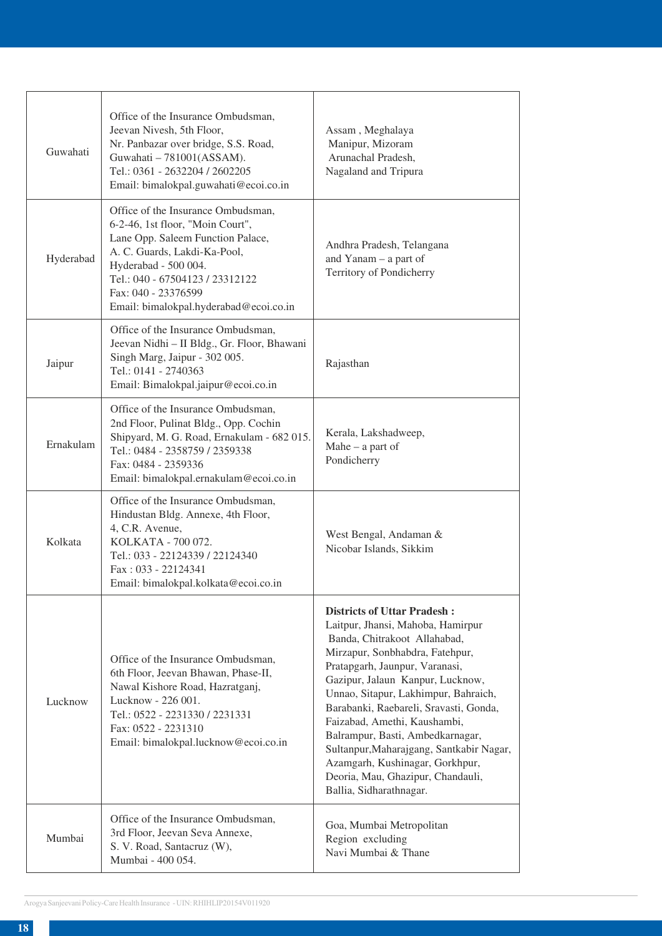| Guwahati  | Office of the Insurance Ombudsman,<br>Jeevan Nivesh, 5th Floor,<br>Nr. Panbazar over bridge, S.S. Road,<br>Guwahati - 781001(ASSAM).<br>Tel.: 0361 - 2632204 / 2602205<br>Email: bimalokpal.guwahati@ecoi.co.in                                                         | Assam, Meghalaya<br>Manipur, Mizoram<br>Arunachal Pradesh,<br>Nagaland and Tripura                                                                                                                                                                                                                                                                                                                                                                                                                                    |
|-----------|-------------------------------------------------------------------------------------------------------------------------------------------------------------------------------------------------------------------------------------------------------------------------|-----------------------------------------------------------------------------------------------------------------------------------------------------------------------------------------------------------------------------------------------------------------------------------------------------------------------------------------------------------------------------------------------------------------------------------------------------------------------------------------------------------------------|
| Hyderabad | Office of the Insurance Ombudsman,<br>6-2-46, 1st floor, "Moin Court",<br>Lane Opp. Saleem Function Palace,<br>A. C. Guards, Lakdi-Ka-Pool,<br>Hyderabad - 500 004.<br>Tel.: 040 - 67504123 / 23312122<br>Fax: 040 - 23376599<br>Email: bimalokpal.hyderabad@ecoi.co.in | Andhra Pradesh, Telangana<br>and Yanam $-$ a part of<br>Territory of Pondicherry                                                                                                                                                                                                                                                                                                                                                                                                                                      |
| Jaipur    | Office of the Insurance Ombudsman,<br>Jeevan Nidhi - II Bldg., Gr. Floor, Bhawani<br>Singh Marg, Jaipur - 302 005.<br>Tel.: 0141 - 2740363<br>Email: Bimalokpal.jaipur@ecoi.co.in                                                                                       | Rajasthan                                                                                                                                                                                                                                                                                                                                                                                                                                                                                                             |
| Ernakulam | Office of the Insurance Ombudsman,<br>2nd Floor, Pulinat Bldg., Opp. Cochin<br>Shipyard, M. G. Road, Ernakulam - 682 015.<br>Tel.: 0484 - 2358759 / 2359338<br>Fax: 0484 - 2359336<br>Email: bimalokpal.ernakulam@ecoi.co.in                                            | Kerala, Lakshadweep,<br>Mahe $-$ a part of<br>Pondicherry                                                                                                                                                                                                                                                                                                                                                                                                                                                             |
| Kolkata   | Office of the Insurance Ombudsman,<br>Hindustan Bldg. Annexe, 4th Floor,<br>4, C.R. Avenue,<br>KOLKATA - 700 072.<br>Tel.: 033 - 22124339 / 22124340<br>Fax: 033 - 22124341<br>Email: bimalokpal.kolkata@ecoi.co.in                                                     | West Bengal, Andaman &<br>Nicobar Islands, Sikkim                                                                                                                                                                                                                                                                                                                                                                                                                                                                     |
| Lucknow   | Office of the Insurance Ombudsman,<br>6th Floor, Jeevan Bhawan, Phase-II,<br>Nawal Kishore Road, Hazratganj,<br>Lucknow - 226 001.<br>Tel.: 0522 - 2231330 / 2231331<br>Fax: 0522 - 2231310<br>Email: bimalokpal.lucknow@ecoi.co.in                                     | <b>Districts of Uttar Pradesh:</b><br>Laitpur, Jhansi, Mahoba, Hamirpur<br>Banda, Chitrakoot Allahabad,<br>Mirzapur, Sonbhabdra, Fatehpur,<br>Pratapgarh, Jaunpur, Varanasi,<br>Gazipur, Jalaun Kanpur, Lucknow,<br>Unnao, Sitapur, Lakhimpur, Bahraich,<br>Barabanki, Raebareli, Sravasti, Gonda,<br>Faizabad, Amethi, Kaushambi,<br>Balrampur, Basti, Ambedkarnagar,<br>Sultanpur, Maharajgang, Santkabir Nagar,<br>Azamgarh, Kushinagar, Gorkhpur,<br>Deoria, Mau, Ghazipur, Chandauli,<br>Ballia, Sidharathnagar. |
| Mumbai    | Office of the Insurance Ombudsman,<br>3rd Floor, Jeevan Seva Annexe,<br>S. V. Road, Santacruz (W),<br>Mumbai - 400 054.                                                                                                                                                 | Goa, Mumbai Metropolitan<br>Region excluding<br>Navi Mumbai & Thane                                                                                                                                                                                                                                                                                                                                                                                                                                                   |
|           |                                                                                                                                                                                                                                                                         |                                                                                                                                                                                                                                                                                                                                                                                                                                                                                                                       |

Arogya Sanjeevani Policy-Care Health Insurance - UIN: RHIHLIP20154V011920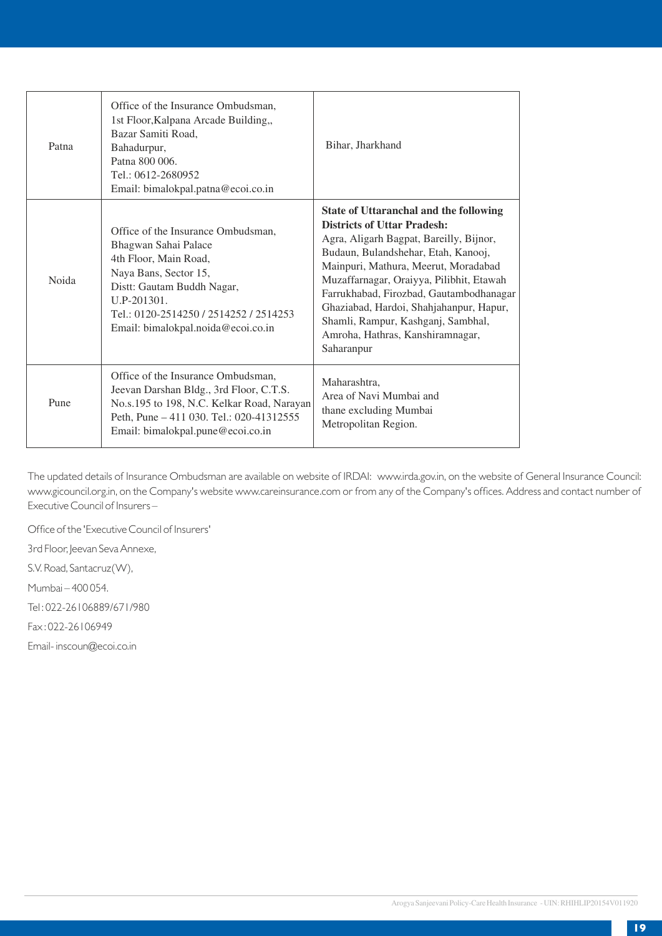| Patna | Office of the Insurance Ombudsman,<br>1st Floor, Kalpana Arcade Building,,<br>Bazar Samiti Road,<br>Bahadurpur,<br>Patna 800 006.<br>Tel.: 0612-2680952<br>Email: bimalokpal.patna@ecoi.co.in                                               | Bihar, Jharkhand                                                                                                                                                                                                                                                                                                                                                                                                                        |
|-------|---------------------------------------------------------------------------------------------------------------------------------------------------------------------------------------------------------------------------------------------|-----------------------------------------------------------------------------------------------------------------------------------------------------------------------------------------------------------------------------------------------------------------------------------------------------------------------------------------------------------------------------------------------------------------------------------------|
| Noida | Office of the Insurance Ombudsman.<br>Bhagwan Sahai Palace<br>4th Floor, Main Road,<br>Naya Bans, Sector 15,<br>Distt: Gautam Buddh Nagar,<br>$ILP-201301.$<br>Tel.: 0120-2514250 / 2514252 / 2514253<br>Email: bimalokpal.noida@ecoi.co.in | <b>State of Uttaranchal and the following</b><br><b>Districts of Uttar Pradesh:</b><br>Agra, Aligarh Bagpat, Bareilly, Bijnor,<br>Budaun, Bulandshehar, Etah, Kanooj,<br>Mainpuri, Mathura, Meerut, Moradabad<br>Muzaffarnagar, Oraiyya, Pilibhit, Etawah<br>Farrukhabad, Firozbad, Gautambodhanagar<br>Ghaziabad, Hardoi, Shahjahanpur, Hapur,<br>Shamli, Rampur, Kashganj, Sambhal,<br>Amroha, Hathras, Kanshiramnagar,<br>Saharanpur |
| Pune  | Office of the Insurance Ombudsman.<br>Jeevan Darshan Bldg., 3rd Floor, C.T.S.<br>No.s.195 to 198, N.C. Kelkar Road, Narayan<br>Peth, Pune - 411 030. Tel.: 020-41312555<br>Email: bimalokpal.pune@ecoi.co.in                                | Maharashtra,<br>Area of Navi Mumbai and<br>thane excluding Mumbai<br>Metropolitan Region.                                                                                                                                                                                                                                                                                                                                               |

The updated details of Insurance Ombudsman are available on website of IRDAI: www.irda.gov.in, on the website of General Insurance Council: www.gicouncil.org.in, on the Company's website www.careinsurance.com or from any of the Company's offices. Address and contact number of Executive Council of Insurers –

Office of the 'Executive Council of Insurers' 3rd Floor, Jeevan Seva Annexe, S.V. Road, Santacruz(W), Mumbai – 400 054. Tel : 022-26106889/671/980 Fax : 022-26106949 Email- inscoun@ecoi.co.in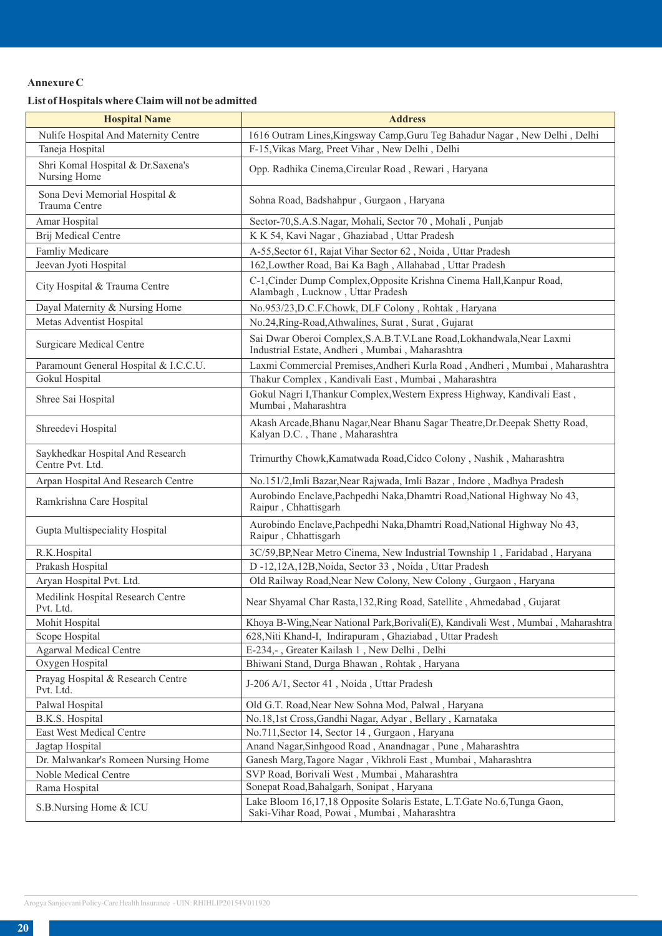# **Annexure C**

# **List of Hospitals where Claim will not be admitted**

| <b>Hospital Name</b>                                 | <b>Address</b>                                                                                                           |
|------------------------------------------------------|--------------------------------------------------------------------------------------------------------------------------|
| Nulife Hospital And Maternity Centre                 | 1616 Outram Lines, Kingsway Camp, Guru Teg Bahadur Nagar, New Delhi, Delhi                                               |
| Taneja Hospital                                      | F-15, Vikas Marg, Preet Vihar, New Delhi, Delhi                                                                          |
| Shri Komal Hospital & Dr.Saxena's<br>Nursing Home    | Opp. Radhika Cinema, Circular Road, Rewari, Haryana                                                                      |
| Sona Devi Memorial Hospital &<br>Trauma Centre       | Sohna Road, Badshahpur, Gurgaon, Haryana                                                                                 |
| Amar Hospital                                        | Sector-70, S.A.S.Nagar, Mohali, Sector 70, Mohali, Punjab                                                                |
| Brij Medical Centre                                  | K K 54, Kavi Nagar, Ghaziabad, Uttar Pradesh                                                                             |
| Famliy Medicare                                      | A-55, Sector 61, Rajat Vihar Sector 62, Noida, Uttar Pradesh                                                             |
| Jeevan Jyoti Hospital                                | 162, Lowther Road, Bai Ka Bagh, Allahabad, Uttar Pradesh                                                                 |
| City Hospital & Trauma Centre                        | C-1, Cinder Dump Complex, Opposite Krishna Cinema Hall, Kanpur Road,<br>Alambagh, Lucknow, Uttar Pradesh                 |
| Dayal Maternity & Nursing Home                       | No.953/23, D.C.F.Chowk, DLF Colony, Rohtak, Haryana                                                                      |
| Metas Adventist Hospital                             | No.24, Ring-Road, Athwalines, Surat, Surat, Gujarat                                                                      |
| <b>Surgicare Medical Centre</b>                      | Sai Dwar Oberoi Complex, S.A.B.T.V.Lane Road, Lokhandwala, Near Laxmi<br>Industrial Estate, Andheri, Mumbai, Maharashtra |
| Paramount General Hospital & I.C.C.U.                | Laxmi Commercial Premises, Andheri Kurla Road, Andheri, Mumbai, Maharashtra                                              |
| Gokul Hospital                                       | Thakur Complex, Kandivali East, Mumbai, Maharashtra                                                                      |
| Shree Sai Hospital                                   | Gokul Nagri I, Thankur Complex, Western Express Highway, Kandivali East,<br>Mumbai, Maharashtra                          |
| Shreedevi Hospital                                   | Akash Arcade, Bhanu Nagar, Near Bhanu Sagar Theatre, Dr. Deepak Shetty Road,<br>Kalyan D.C., Thane, Maharashtra          |
| Saykhedkar Hospital And Research<br>Centre Pvt. Ltd. | Trimurthy Chowk, Kamatwada Road, Cidco Colony, Nashik, Maharashtra                                                       |
| Arpan Hospital And Research Centre                   | No.151/2,Imli Bazar, Near Rajwada, Imli Bazar, Indore, Madhya Pradesh                                                    |
| Ramkrishna Care Hospital                             | Aurobindo Enclave, Pachpedhi Naka, Dhamtri Road, National Highway No 43,<br>Raipur, Chhattisgarh                         |
| Gupta Multispeciality Hospital                       | Aurobindo Enclave, Pachpedhi Naka, Dhamtri Road, National Highway No 43,<br>Raipur, Chhattisgarh                         |
| R.K.Hospital                                         | 3C/59, BP, Near Metro Cinema, New Industrial Township 1, Faridabad, Haryana                                              |
| Prakash Hospital                                     | D-12,12A,12B, Noida, Sector 33, Noida, Uttar Pradesh                                                                     |
| Aryan Hospital Pvt. Ltd.                             | Old Railway Road, Near New Colony, New Colony, Gurgaon, Haryana                                                          |
| Medilink Hospital Research Centre<br>Pvt. Ltd.       | Near Shyamal Char Rasta, 132, Ring Road, Satellite, Ahmedabad, Gujarat                                                   |
| Mohit Hospital                                       | Khoya B-Wing, Near National Park, Borivali(E), Kandivali West, Mumbai, Maharashtra                                       |
| Scope Hospital                                       | 628, Niti Khand-I, Indirapuram, Ghaziabad, Uttar Pradesh                                                                 |
| <b>Agarwal Medical Centre</b>                        | E-234,-, Greater Kailash 1, New Delhi, Delhi                                                                             |
| Oxygen Hospital                                      | Bhiwani Stand, Durga Bhawan, Rohtak, Haryana                                                                             |
| Prayag Hospital & Research Centre<br>Pvt. Ltd.       | J-206 A/1, Sector 41, Noida, Uttar Pradesh                                                                               |
| Palwal Hospital                                      | Old G.T. Road, Near New Sohna Mod, Palwal, Haryana                                                                       |
| B.K.S. Hospital                                      | No.18,1st Cross, Gandhi Nagar, Adyar, Bellary, Karnataka                                                                 |
| East West Medical Centre                             | No.711, Sector 14, Sector 14, Gurgaon, Haryana                                                                           |
| Jagtap Hospital                                      | Anand Nagar, Sinhgood Road, Anandnagar, Pune, Maharashtra                                                                |
| Dr. Malwankar's Romeen Nursing Home                  | Ganesh Marg, Tagore Nagar, Vikhroli East, Mumbai, Maharashtra                                                            |
| Noble Medical Centre                                 | SVP Road, Borivali West, Mumbai, Maharashtra                                                                             |
| Rama Hospital                                        | Sonepat Road, Bahalgarh, Sonipat, Haryana                                                                                |
| S.B.Nursing Home & ICU                               | Lake Bloom 16,17,18 Opposite Solaris Estate, L.T.Gate No.6,Tunga Gaon,<br>Saki-Vihar Road, Powai, Mumbai, Maharashtra    |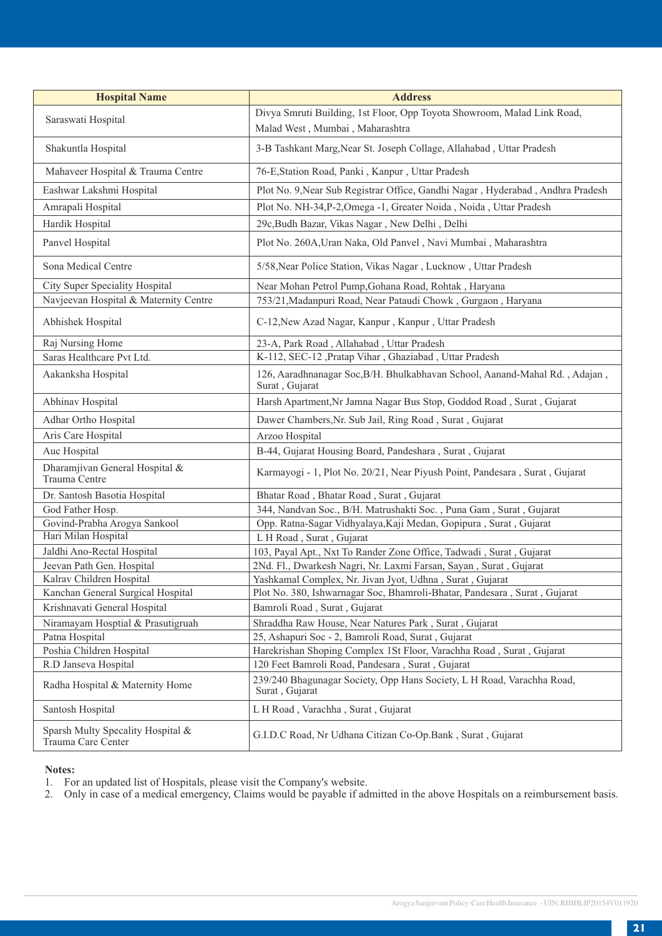| <b>Hospital Name</b>                                    | <b>Address</b>                                                                                             |
|---------------------------------------------------------|------------------------------------------------------------------------------------------------------------|
| Saraswati Hospital                                      | Divya Smruti Building, 1st Floor, Opp Toyota Showroom, Malad Link Road,<br>Malad West, Mumbai, Maharashtra |
| Shakuntla Hospital                                      | 3-B Tashkant Marg, Near St. Joseph Collage, Allahabad, Uttar Pradesh                                       |
| Mahaveer Hospital & Trauma Centre                       | 76-E, Station Road, Panki, Kanpur, Uttar Pradesh                                                           |
| Eashwar Lakshmi Hospital                                | Plot No. 9, Near Sub Registrar Office, Gandhi Nagar, Hyderabad, Andhra Pradesh                             |
| Amrapali Hospital                                       | Plot No. NH-34, P-2, Omega -1, Greater Noida, Noida, Uttar Pradesh                                         |
| Hardik Hospital                                         | 29c, Budh Bazar, Vikas Nagar, New Delhi, Delhi                                                             |
| Panvel Hospital                                         | Plot No. 260A, Uran Naka, Old Panvel, Navi Mumbai, Maharashtra                                             |
| Sona Medical Centre                                     | 5/58, Near Police Station, Vikas Nagar, Lucknow, Uttar Pradesh                                             |
| City Super Speciality Hospital                          | Near Mohan Petrol Pump, Gohana Road, Rohtak, Haryana                                                       |
| Navjeevan Hospital & Maternity Centre                   | 753/21, Madanpuri Road, Near Pataudi Chowk, Gurgaon, Haryana                                               |
| Abhishek Hospital                                       | C-12, New Azad Nagar, Kanpur, Kanpur, Uttar Pradesh                                                        |
| Raj Nursing Home                                        | 23-A, Park Road, Allahabad, Uttar Pradesh                                                                  |
| Saras Healthcare Pvt Ltd.                               | K-112, SEC-12 , Pratap Vihar, Ghaziabad, Uttar Pradesh                                                     |
| Aakanksha Hospital                                      | 126, Aaradhnanagar Soc, B/H. Bhulkabhavan School, Aanand-Mahal Rd., Adajan,<br>Surat, Gujarat              |
| Abhinav Hospital                                        | Harsh Apartment, Nr Jamna Nagar Bus Stop, Goddod Road, Surat, Gujarat                                      |
| Adhar Ortho Hospital                                    | Dawer Chambers, Nr. Sub Jail, Ring Road, Surat, Gujarat                                                    |
| Aris Care Hospital                                      | Arzoo Hospital                                                                                             |
| Auc Hospital                                            | B-44, Gujarat Housing Board, Pandeshara, Surat, Gujarat                                                    |
| Dharamjivan General Hospital &<br>Trauma Centre         | Karmayogi - 1, Plot No. 20/21, Near Piyush Point, Pandesara, Surat, Gujarat                                |
| Dr. Santosh Basotia Hospital                            | Bhatar Road, Bhatar Road, Surat, Gujarat                                                                   |
| God Father Hosp.                                        | 344, Nandvan Soc., B/H. Matrushakti Soc., Puna Gam, Surat, Gujarat                                         |
| Govind-Prabha Arogya Sankool                            | Opp. Ratna-Sagar Vidhyalaya, Kaji Medan, Gopipura, Surat, Gujarat                                          |
| Hari Milan Hospital                                     | L H Road, Surat, Gujarat                                                                                   |
| Jaldhi Ano-Rectal Hospital                              | 103, Payal Apt., Nxt To Rander Zone Office, Tadwadi, Surat, Gujarat                                        |
| Jeevan Path Gen. Hospital                               | 2Nd. Fl., Dwarkesh Nagri, Nr. Laxmi Farsan, Sayan, Surat, Gujarat                                          |
| Kalrav Children Hospital                                | Yashkamal Complex, Nr. Jivan Jyot, Udhna, Surat, Gujarat                                                   |
| Kanchan General Surgical Hospital                       | Plot No. 380, Ishwarnagar Soc, Bhamroli-Bhatar, Pandesara, Surat, Gujarat                                  |
| Krishnavati General Hospital                            | Bamroli Road, Surat, Gujarat                                                                               |
| Niramayam Hosptial & Prasutigruah                       | Shraddha Raw House, Near Natures Park, Surat, Gujarat                                                      |
| Patna Hospital                                          | 25, Ashapuri Soc - 2, Bamroli Road, Surat, Gujarat                                                         |
| Poshia Children Hospital                                | Harekrishan Shoping Complex 1St Floor, Varachha Road, Surat, Gujarat                                       |
| R.D Janseva Hospital                                    | 120 Feet Bamroli Road, Pandesara, Surat, Gujarat                                                           |
| Radha Hospital & Maternity Home                         | 239/240 Bhagunagar Society, Opp Hans Society, L H Road, Varachha Road,<br>Surat, Gujarat                   |
| Santosh Hospital                                        | L H Road, Varachha, Surat, Gujarat                                                                         |
| Sparsh Multy Specality Hospital &<br>Trauma Care Center | G.I.D.C Road, Nr Udhana Citizan Co-Op.Bank, Surat, Gujarat                                                 |

# **Notes:**

1. For an updated list of Hospitals, please visit the Company's website.

2. Only in case of a medical emergency, Claims would be payable if admitted in the above Hospitals on a reimbursement basis.